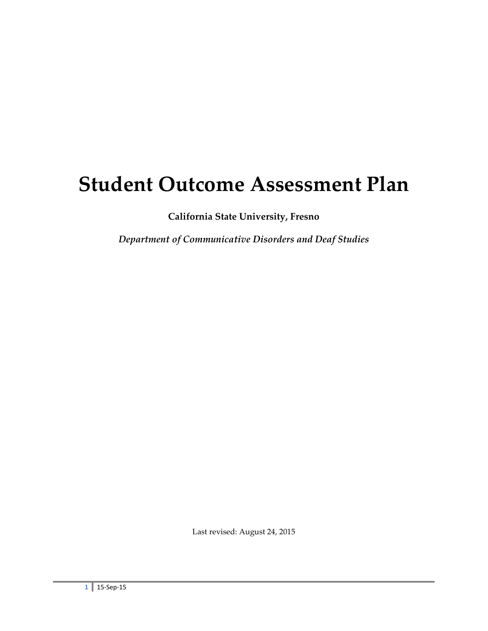# **Student Outcome Assessment Plan**

**California State University, Fresno**

*Department of Communicative Disorders and Deaf Studies*

Last revised: August 24, 2015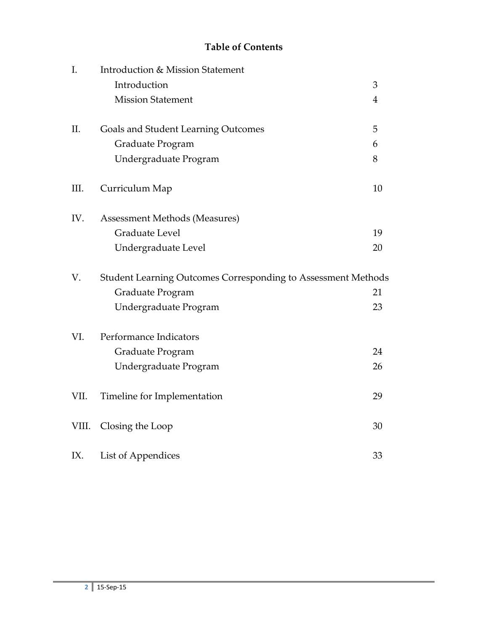# **Table of Contents**

| I.    | Introduction & Mission Statement                              |                |
|-------|---------------------------------------------------------------|----------------|
|       | Introduction                                                  | 3              |
|       | <b>Mission Statement</b>                                      | $\overline{4}$ |
| II.   | Goals and Student Learning Outcomes                           | 5              |
|       | Graduate Program                                              | 6              |
|       | Undergraduate Program                                         | 8              |
| III.  | Curriculum Map                                                | 10             |
| IV.   | Assessment Methods (Measures)                                 |                |
|       | <b>Graduate Level</b>                                         | 19             |
|       | Undergraduate Level                                           | 20             |
| V.    | Student Learning Outcomes Corresponding to Assessment Methods |                |
|       | Graduate Program                                              | 21             |
|       | Undergraduate Program                                         | 23             |
| VI.   | Performance Indicators                                        |                |
|       | Graduate Program                                              | 24             |
|       | Undergraduate Program                                         | 26             |
| VII.  | Timeline for Implementation                                   | 29             |
| VIII. | Closing the Loop                                              | 30             |
| IX.   | List of Appendices                                            | 33             |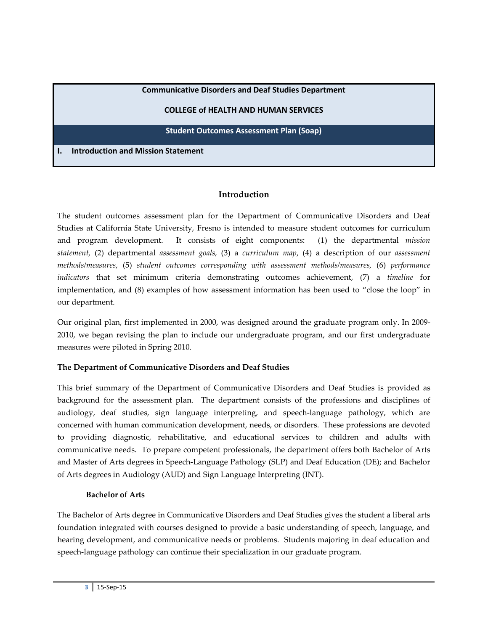#### **Communicative Disorders and Deaf Studies Department**

#### **COLLEGE of HEALTH AND HUMAN SERVICES**

#### **Student Outcomes Assessment Plan (Soap)**

**I. Introduction and Mission Statement**

## **Introduction**

The student outcomes assessment plan for the Department of Communicative Disorders and Deaf Studies at California State University, Fresno is intended to measure student outcomes for curriculum and program development. It consists of eight components: (1) the departmental *mission statement,* (2) departmental *assessment goals,* (3) a *curriculum map*, (4) a description of our *assessment methods/measures*, (5) *student outcomes corresponding with assessment methods/measures,* (6) *performance indicators* that set minimum criteria demonstrating outcomes achievement, (7) a *timeline* for implementation, and (8) examples of how assessment information has been used to "close the loop" in our department.

Our original plan, first implemented in 2000, was designed around the graduate program only. In 2009- 2010, we began revising the plan to include our undergraduate program, and our first undergraduate measures were piloted in Spring 2010.

#### **The Department of Communicative Disorders and Deaf Studies**

This brief summary of the Department of Communicative Disorders and Deaf Studies is provided as background for the assessment plan. The department consists of the professions and disciplines of audiology, deaf studies, sign language interpreting, and speech-language pathology, which are concerned with human communication development, needs, or disorders. These professions are devoted to providing diagnostic, rehabilitative, and educational services to children and adults with communicative needs. To prepare competent professionals, the department offers both Bachelor of Arts and Master of Arts degrees in Speech-Language Pathology (SLP) and Deaf Education (DE); and Bachelor of Arts degrees in Audiology (AUD) and Sign Language Interpreting (INT).

#### **Bachelor of Arts**

The Bachelor of Arts degree in Communicative Disorders and Deaf Studies gives the student a liberal arts foundation integrated with courses designed to provide a basic understanding of speech, language, and hearing development, and communicative needs or problems. Students majoring in deaf education and speech-language pathology can continue their specialization in our graduate program.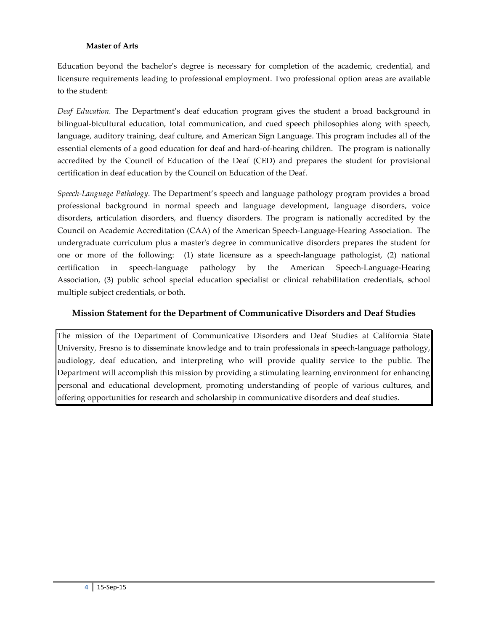#### **Master of Arts**

Education beyond the bachelor's degree is necessary for completion of the academic, credential, and licensure requirements leading to professional employment. Two professional option areas are available to the student:

*Deaf Education.* The Department's deaf education program gives the student a broad background in bilingual-bicultural education, total communication, and cued speech philosophies along with speech, language, auditory training, deaf culture, and American Sign Language. This program includes all of the essential elements of a good education for deaf and hard-of-hearing children. The program is nationally accredited by the Council of Education of the Deaf (CED) and prepares the student for provisional certification in deaf education by the Council on Education of the Deaf.

*Speech-Language Pathology.* The Department's speech and language pathology program provides a broad professional background in normal speech and language development, language disorders, voice disorders, articulation disorders, and fluency disorders. The program is nationally accredited by the Council on Academic Accreditation (CAA) of the American Speech-Language-Hearing Association. The undergraduate curriculum plus a master's degree in communicative disorders prepares the student for one or more of the following: (1) state licensure as a speech-language pathologist, (2) national certification in speech-language pathology by the American Speech-Language-Hearing Association, (3) public school special education specialist or clinical rehabilitation credentials, school multiple subject credentials, or both.

## **Mission Statement for the Department of Communicative Disorders and Deaf Studies**

The mission of the Department of Communicative Disorders and Deaf Studies at California State University, Fresno is to disseminate knowledge and to train professionals in speech-language pathology, audiology, deaf education, and interpreting who will provide quality service to the public. The Department will accomplish this mission by providing a stimulating learning environment for enhancing personal and educational development, promoting understanding of people of various cultures, and offering opportunities for research and scholarship in communicative disorders and deaf studies.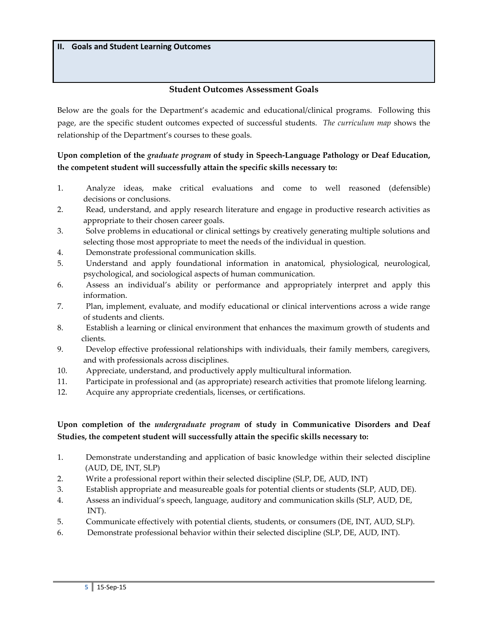## **Student Outcomes Assessment Goals**

Below are the goals for the Department's academic and educational/clinical programs. Following this page, are the specific student outcomes expected of successful students. *The curriculum map* shows the relationship of the Department's courses to these goals.

## **Upon completion of the** *graduate program* **of study in Speech-Language Pathology or Deaf Education, the competent student will successfully attain the specific skills necessary to:**

- 1. Analyze ideas, make critical evaluations and come to well reasoned (defensible) decisions or conclusions.
- 2. Read, understand, and apply research literature and engage in productive research activities as appropriate to their chosen career goals.
- 3. Solve problems in educational or clinical settings by creatively generating multiple solutions and selecting those most appropriate to meet the needs of the individual in question.
- 4. Demonstrate professional communication skills.
- 5. Understand and apply foundational information in anatomical, physiological, neurological, psychological, and sociological aspects of human communication.
- 6. Assess an individual's ability or performance and appropriately interpret and apply this information.
- 7. Plan, implement, evaluate, and modify educational or clinical interventions across a wide range of students and clients.
- 8. Establish a learning or clinical environment that enhances the maximum growth of students and clients.
- 9. Develop effective professional relationships with individuals, their family members, caregivers, and with professionals across disciplines.
- 10. Appreciate, understand, and productively apply multicultural information.
- 11. Participate in professional and (as appropriate) research activities that promote lifelong learning.
- 12. Acquire any appropriate credentials, licenses, or certifications.

## **Upon completion of the** *undergraduate program* **of study in Communicative Disorders and Deaf Studies, the competent student will successfully attain the specific skills necessary to:**

- 1. Demonstrate understanding and application of basic knowledge within their selected discipline (AUD, DE, INT, SLP)
- 2. Write a professional report within their selected discipline (SLP, DE, AUD, INT)
- 3. Establish appropriate and measureable goals for potential clients or students (SLP, AUD, DE).
- 4. Assess an individual's speech, language, auditory and communication skills (SLP, AUD, DE, INT).
- 5. Communicate effectively with potential clients, students, or consumers (DE, INT, AUD, SLP).
- 6. Demonstrate professional behavior within their selected discipline (SLP, DE, AUD, INT).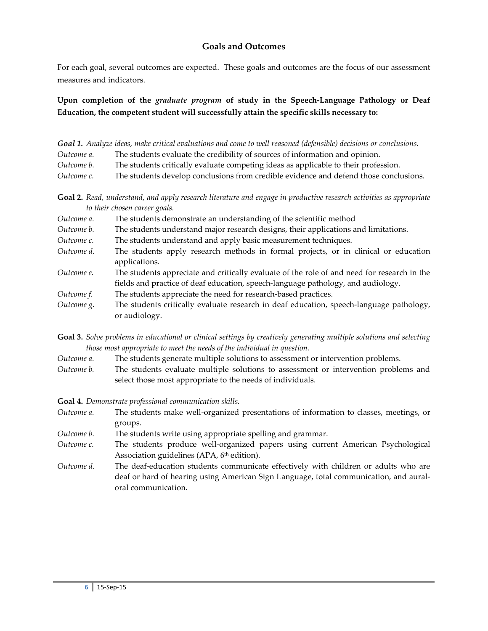## **Goals and Outcomes**

For each goal, several outcomes are expected. These goals and outcomes are the focus of our assessment measures and indicators.

**Upon completion of the** *graduate program* **of study in the Speech-Language Pathology or Deaf Education, the competent student will successfully attain the specific skills necessary to:**

|            | Goal 1. Analyze ideas, make critical evaluations and come to well reasoned (defensible) decisions or conclusions. |
|------------|-------------------------------------------------------------------------------------------------------------------|
| Outcome a. | The students evaluate the credibility of sources of information and opinion.                                      |
| Outcome b. | The students critically evaluate competing ideas as applicable to their profession.                               |
| Outcome c. | The students develop conclusions from credible evidence and defend those conclusions.                             |

**Goal 2.** *Read, understand, and apply research literature and engage in productive research activities as appropriate to their chosen career goals.*

| Outcome a. | The students demonstrate an understanding of the scientific method                                                                                                              |
|------------|---------------------------------------------------------------------------------------------------------------------------------------------------------------------------------|
| Outcome b. | The students understand major research designs, their applications and limitations.                                                                                             |
| Outcome c. | The students understand and apply basic measurement techniques.                                                                                                                 |
| Outcome d. | The students apply research methods in formal projects, or in clinical or education<br>applications.                                                                            |
| Outcome e. | The students appreciate and critically evaluate of the role of and need for research in the<br>fields and practice of deaf education, speech-language pathology, and audiology. |
| Outcome f. | The students appreciate the need for research-based practices.                                                                                                                  |
| Outcome g. | The students critically evaluate research in deaf education, speech-language pathology,<br>or audiology.                                                                        |

**Goal 3.** *Solve problems in educational or clinical settings by creatively generating multiple solutions and selecting those most appropriate to meet the needs of the individual in question.*

- *Outcome a.* The students generate multiple solutions to assessment or intervention problems.
- *Outcome b.* The students evaluate multiple solutions to assessment or intervention problems and select those most appropriate to the needs of individuals.

**Goal 4.** *Demonstrate professional communication skills.*

- *Outcome a.* The students make well-organized presentations of information to classes, meetings, or groups.
- *Outcome b.* The students write using appropriate spelling and grammar.
- *Outcome c.* The students produce well-organized papers using current American Psychological Association guidelines (APA, 6<sup>th</sup> edition).
- *Outcome d.* The deaf-education students communicate effectively with children or adults who are deaf or hard of hearing using American Sign Language, total communication, and auraloral communication.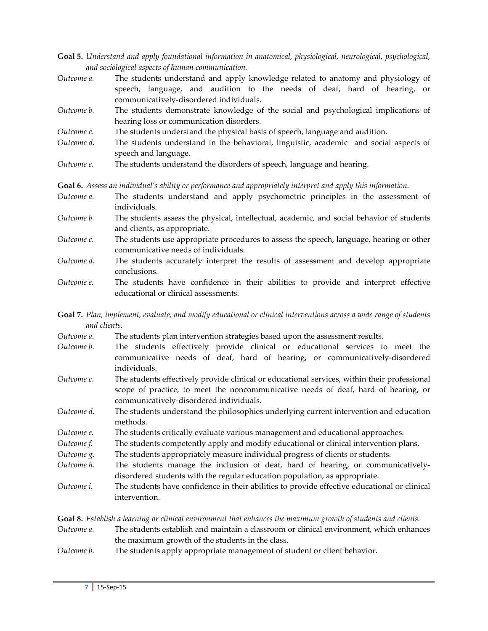- **Goal 5.** *Understand and apply foundational information in anatomical, physiological, neurological, psychological, and sociological aspects of human communication.*
- *Outcome a.* The students understand and apply knowledge related to anatomy and physiology of speech, language, and audition to the needs of deaf, hard of hearing, or communicatively-disordered individuals.
- *Outcome b.* The students demonstrate knowledge of the social and psychological implications of hearing loss or communication disorders.
- *Outcome c.* The students understand the physical basis of speech, language and audition.
- *Outcome d.* The students understand in the behavioral, linguistic, academic and social aspects of speech and language.
- *Outcome e.* The students understand the disorders of speech, language and hearing.

**Goal 6.** *Assess an individual's ability or performance and appropriately interpret and apply this information.*

- *Outcome a.* The students understand and apply psychometric principles in the assessment of individuals.
- *Outcome b.* The students assess the physical, intellectual, academic, and social behavior of students and clients, as appropriate.
- *Outcome c.* The students use appropriate procedures to assess the speech, language, hearing or other communicative needs of individuals.
- *Outcome d.* The students accurately interpret the results of assessment and develop appropriate conclusions.
- *Outcome e.* The students have confidence in their abilities to provide and interpret effective educational or clinical assessments.

**Goal 7.** *Plan, implement, evaluate, and modify educational or clinical interventions across a wide range of students and clients.*

| Outcome a. | The students plan intervention strategies based upon the assessment results. |  |  |
|------------|------------------------------------------------------------------------------|--|--|
|------------|------------------------------------------------------------------------------|--|--|

- *Outcome b.* The students effectively provide clinical or educational services to meet the communicative needs of deaf, hard of hearing, or communicatively-disordered individuals.
- *Outcome c.* The students effectively provide clinical or educational services, within their professional scope of practice, to meet the noncommunicative needs of deaf, hard of hearing, or communicatively-disordered individuals.
- *Outcome d.* The students understand the philosophies underlying current intervention and education methods.
- *Outcome e.* The students critically evaluate various management and educational approaches.
- *Outcome f.* The students competently apply and modify educational or clinical intervention plans.
- *Outcome g.* The students appropriately measure individual progress of clients or students.
- *Outcome h.* The students manage the inclusion of deaf, hard of hearing, or communicativelydisordered students with the regular education population, as appropriate.
- *Outcome i.* The students have confidence in their abilities to provide effective educational or clinical intervention.

**Goal 8.** *Establish a learning or clinical environment that enhances the maximum growth of students and clients.*

- *Outcome a.* The students establish and maintain a classroom or clinical environment, which enhances the maximum growth of the students in the class.
- *Outcome b.* The students apply appropriate management of student or client behavior.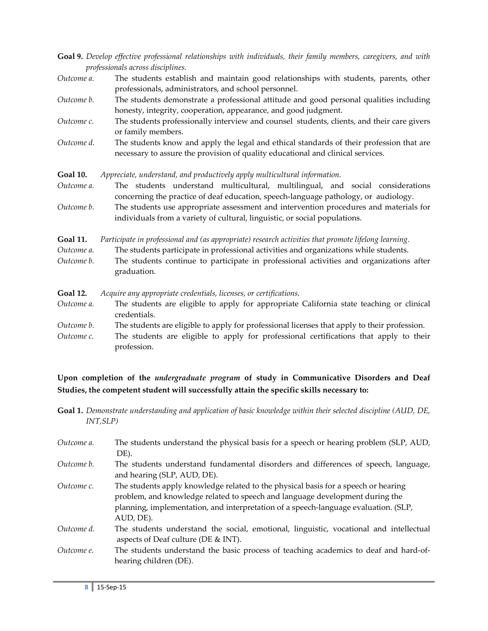| Goal 9. Develop effective professional relationships with individuals, their family members, caregivers, and with |  |  |  |
|-------------------------------------------------------------------------------------------------------------------|--|--|--|
| professionals across disciplines.                                                                                 |  |  |  |

| Outcome a. | The students establish and maintain good relationships with students, parents, other |
|------------|--------------------------------------------------------------------------------------|
|            | professionals, administrators, and school personnel.                                 |

*Outcome b.* The students demonstrate a professional attitude and good personal qualities including honesty, integrity, cooperation, appearance, and good judgment.

- *Outcome c.* The students professionally interview and counsel students, clients, and their care givers or family members.
- *Outcome d.* The students know and apply the legal and ethical standards of their profession that are necessary to assure the provision of quality educational and clinical services.

**Goal 10.** *Appreciate, understand, and productively apply multicultural information.*

*Outcome a.* The students understand multicultural, multilingual, and social considerations concerning the practice of deaf education, speech-language pathology, or audiology.

*Outcome b.* The students use appropriate assessment and intervention procedures and materials for individuals from a variety of cultural, linguistic, or social populations.

**Goal 11.** *Participate in professional and (as appropriate) research activities that promote lifelong learning. Outcome a.* The students participate in professional activities and organizations while students. *Outcome b.* The students continue to participate in professional activities and organizations after graduation.

| <b>Goal 12.</b> | Acquire any appropriate credentials, licenses, or certifications.                                        |
|-----------------|----------------------------------------------------------------------------------------------------------|
| Outcome a.      | The students are eligible to apply for appropriate California state teaching or clinical<br>credentials. |
| Outcome b.      | The students are eligible to apply for professional licenses that apply to their profession.             |
| Outcome c.      | The students are eligible to apply for professional certifications that apply to their<br>profession.    |

**Upon completion of the** *undergraduate program* **of study in Communicative Disorders and Deaf Studies, the competent student will successfully attain the specific skills necessary to:**

**Goal 1.** *Demonstrate understanding and application of basic knowledge within their selected discipline (AUD, DE, INT,SLP)*

| Outcome a. | The students understand the physical basis for a speech or hearing problem (SLP, AUD,<br>DE).                                                                                                                                                                          |
|------------|------------------------------------------------------------------------------------------------------------------------------------------------------------------------------------------------------------------------------------------------------------------------|
| Outcome b. | The students understand fundamental disorders and differences of speech, language,<br>and hearing (SLP, AUD, DE).                                                                                                                                                      |
| Outcome c. | The students apply knowledge related to the physical basis for a speech or hearing<br>problem, and knowledge related to speech and language development during the<br>planning, implementation, and interpretation of a speech-language evaluation. (SLP,<br>AUD, DE). |
| Outcome d. | The students understand the social, emotional, linguistic, vocational and intellectual<br>aspects of Deaf culture (DE & INT).                                                                                                                                          |
| Outcome e. | The students understand the basic process of teaching academics to deaf and hard-of-<br>hearing children (DE).                                                                                                                                                         |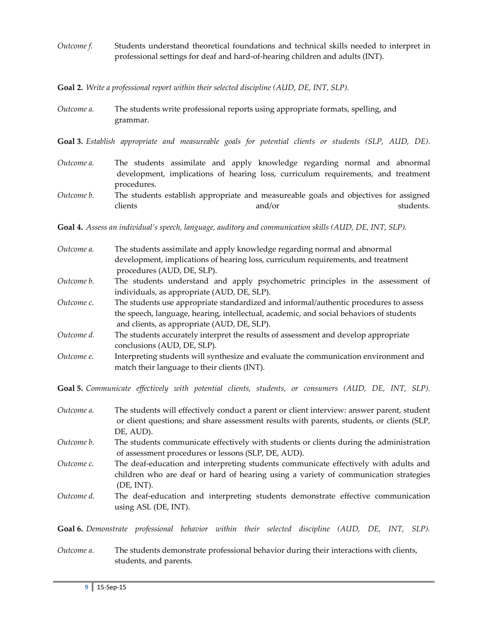*Outcome f.* Students understand theoretical foundations and technical skills needed to interpret in professional settings for deaf and hard-of-hearing children and adults (INT).

**Goal 2.** *Write a professional report within their selected discipline (AUD, DE, INT, SLP).*

| Outcome a. | The students write professional reports using appropriate formats, spelling, and |
|------------|----------------------------------------------------------------------------------|
|            | grammar.                                                                         |

**Goal 3.** *Establish appropriate and measureable goals for potential clients or students (SLP, AUD, DE).*

| Outcome a. | The students assimilate and apply knowledge regarding normal and abnormal            |
|------------|--------------------------------------------------------------------------------------|
|            | development, implications of hearing loss, curriculum requirements, and treatment    |
|            | procedures.                                                                          |
| Outcome b. | The students establish appropriate and measureable goals and objectives for assigned |

clients and/or students.

**Goal 4.** *Assess an individual's speech, language, auditory and communication skills (AUD, DE, INT, SLP).*

| Outcome a. | The students assimilate and apply knowledge regarding normal and abnormal<br>development, implications of hearing loss, curriculum requirements, and treatment |
|------------|----------------------------------------------------------------------------------------------------------------------------------------------------------------|
|            | procedures (AUD, DE, SLP).                                                                                                                                     |
| Outcome b. | The students understand and apply psychometric principles in the assessment of                                                                                 |
|            | individuals, as appropriate (AUD, DE, SLP).                                                                                                                    |
| Outcome c. | The students use appropriate standardized and informal/authentic procedures to assess                                                                          |
|            | the speech, language, hearing, intellectual, academic, and social behaviors of students<br>and clients, as appropriate (AUD, DE, SLP).                         |
| Outcome d. | The students accurately interpret the results of assessment and develop appropriate<br>conclusions (AUD, DE, SLP).                                             |
| Outcome e. | Interpreting students will synthesize and evaluate the communication environment and<br>match their language to their clients (INT).                           |

**Goal 5.** *Communicate effectively with potential clients, students, or consumers (AUD, DE, INT, SLP).*

| Outcome a. | The students will effectively conduct a parent or client interview: answer parent, student<br>or client questions; and share assessment results with parents, students, or clients (SLP,<br>DE, AUD). |
|------------|-------------------------------------------------------------------------------------------------------------------------------------------------------------------------------------------------------|
| Outcome b. | The students communicate effectively with students or clients during the administration<br>of assessment procedures or lessons (SLP, DE, AUD).                                                        |
| Outcome c. | The deaf-education and interpreting students communicate effectively with adults and<br>children who are deaf or hard of hearing using a variety of communication strategies<br>$(DE, INT)$ .         |
| Outcome d. | The deaf-education and interpreting students demonstrate effective communication<br>using ASL (DE, INT).                                                                                              |

**Goal 6.** *Demonstrate professional behavior within their selected discipline (AUD, DE, INT, SLP).*

*Outcome a.* The students demonstrate professional behavior during their interactions with clients, students, and parents.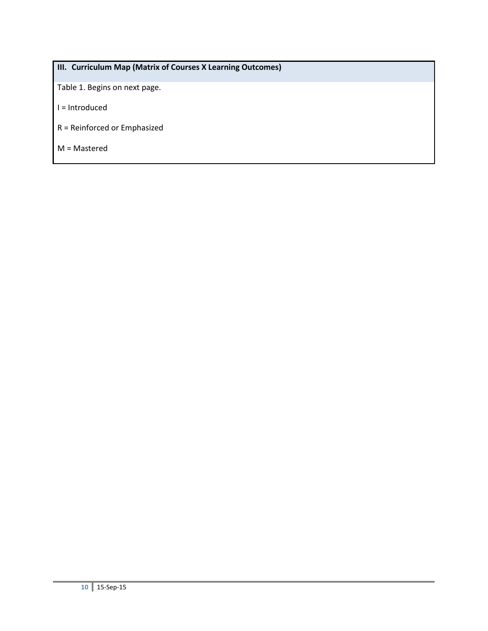# **III. Curriculum Map (Matrix of Courses X Learning Outcomes)**

Table 1. Begins on next page.

- I = Introduced
- R = Reinforced or Emphasized
- M = Mastered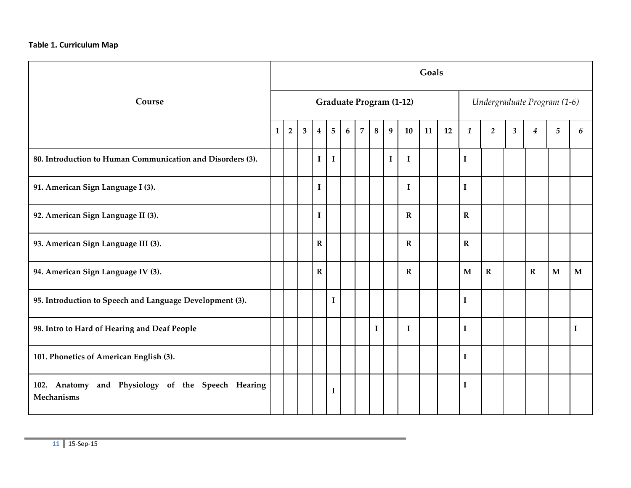## **Table 1. Curriculum Map**

|                                                                        |   |                |   |             |                |   |                |          |   |                                | Goals |    |              |                             |                |             |              |              |
|------------------------------------------------------------------------|---|----------------|---|-------------|----------------|---|----------------|----------|---|--------------------------------|-------|----|--------------|-----------------------------|----------------|-------------|--------------|--------------|
| Course                                                                 |   |                |   |             |                |   |                |          |   | <b>Graduate Program (1-12)</b> |       |    |              | Undergraduate Program (1-6) |                |             |              |              |
|                                                                        | 1 | $\overline{2}$ | 3 | $\bf 4$     | $\overline{5}$ | 6 | $\overline{7}$ | 8        | 9 | 10                             | 11    | 12 | 1            | $\overline{2}$              | $\mathfrak{z}$ | 4           | 5            | 6            |
| 80. Introduction to Human Communication and Disorders (3).             |   |                |   | I           | $\mathbf I$    |   |                |          | 1 | $\bf{I}$                       |       |    | $\mathbf I$  |                             |                |             |              |              |
| 91. American Sign Language I (3).                                      |   |                |   | $\mathbf I$ |                |   |                |          |   | $\bf{I}$                       |       |    | $\mathbf I$  |                             |                |             |              |              |
| 92. American Sign Language II (3).                                     |   |                |   | $\mathbf I$ |                |   |                |          |   | $\bf R$                        |       |    | $\mathbf R$  |                             |                |             |              |              |
| 93. American Sign Language III (3).                                    |   |                |   | $\mathbf R$ |                |   |                |          |   | $\mathbf R$                    |       |    | $\mathbf{R}$ |                             |                |             |              |              |
| 94. American Sign Language IV (3).                                     |   |                |   | $\mathbf R$ |                |   |                |          |   | $\bf R$                        |       |    | M            | $\mathbf R$                 |                | $\mathbf R$ | $\mathbf{M}$ | $\mathbf{M}$ |
| 95. Introduction to Speech and Language Development (3).               |   |                |   |             | $\mathbf I$    |   |                |          |   |                                |       |    | $\mathbf I$  |                             |                |             |              |              |
| 98. Intro to Hard of Hearing and Deaf People                           |   |                |   |             |                |   |                | $\bf{I}$ |   | $\bf{I}$                       |       |    | $\mathbf I$  |                             |                |             |              | $\bf{I}$     |
| 101. Phonetics of American English (3).                                |   |                |   |             |                |   |                |          |   |                                |       |    | $\mathbf I$  |                             |                |             |              |              |
| 102. Anatomy and Physiology of the Speech Hearing<br><b>Mechanisms</b> |   |                |   |             | $\mathbf I$    |   |                |          |   |                                |       |    | $\mathbf I$  |                             |                |             |              |              |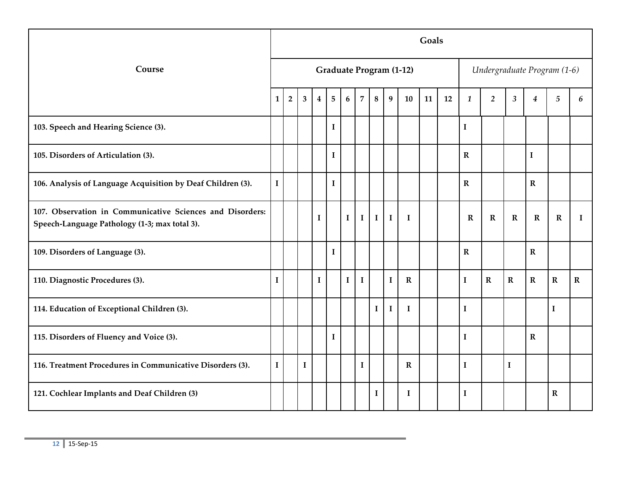|                                                                                                            |             |                |                         |             |             |              |                |              |              |                                | Goals |    |              |                             |                |             |                |              |
|------------------------------------------------------------------------------------------------------------|-------------|----------------|-------------------------|-------------|-------------|--------------|----------------|--------------|--------------|--------------------------------|-------|----|--------------|-----------------------------|----------------|-------------|----------------|--------------|
| Course                                                                                                     |             |                |                         |             |             |              |                |              |              | <b>Graduate Program (1-12)</b> |       |    |              | Undergraduate Program (1-6) |                |             |                |              |
|                                                                                                            | 1           | $\overline{2}$ | $\overline{\mathbf{3}}$ | 4           | 5           | 6            | $\overline{7}$ | 8            | 9            | 10                             | 11    | 12 | $\mathbf{1}$ | $\overline{2}$              | $\mathfrak{Z}$ | 4           | $\overline{5}$ | 6            |
| 103. Speech and Hearing Science (3).                                                                       |             |                |                         |             | $\mathbf I$ |              |                |              |              |                                |       |    | $\mathbf I$  |                             |                |             |                |              |
| 105. Disorders of Articulation (3).                                                                        |             |                |                         |             | $\mathbf I$ |              |                |              |              |                                |       |    | $\mathbf R$  |                             |                | $\mathbf I$ |                |              |
| 106. Analysis of Language Acquisition by Deaf Children (3).                                                | $\mathbf I$ |                |                         |             | $\mathbf I$ |              |                |              |              |                                |       |    | ${\bf R}$    |                             |                | ${\bf R}$   |                |              |
| 107. Observation in Communicative Sciences and Disorders:<br>Speech-Language Pathology (1-3; max total 3). |             |                |                         | $\mathbf I$ |             | $\mathbf{I}$ | $\mathbf I$    | $\mathbf{I}$ | $\mathbf{I}$ | $\bf{I}$                       |       |    | $\mathbf R$  | $\mathbf R$                 | $\mathbf R$    | $\mathbf R$ | $\mathbf R$    | $\mathbf{I}$ |
| 109. Disorders of Language (3).                                                                            |             |                |                         |             | $\mathbf I$ |              |                |              |              |                                |       |    | $\mathbf R$  |                             |                | $\mathbf R$ |                |              |
| 110. Diagnostic Procedures (3).                                                                            | $\bf{I}$    |                |                         | $\bf{I}$    |             | $\mathbf I$  | $\mathbf I$    |              | $\mathbf I$  | ${\bf R}$                      |       |    | $\mathbf I$  | $\mathbf R$                 | $\mathbf R$    | ${\bf R}$   | $\mathbf R$    | ${\bf R}$    |
| 114. Education of Exceptional Children (3).                                                                |             |                |                         |             |             |              |                | $\mathbf I$  | $\bf{I}$     | $\bf{I}$                       |       |    | $\mathbf I$  |                             |                |             | I              |              |
| 115. Disorders of Fluency and Voice (3).                                                                   |             |                |                         |             | $\mathbf I$ |              |                |              |              |                                |       |    | $\mathbf I$  |                             |                | $\mathbf R$ |                |              |
| 116. Treatment Procedures in Communicative Disorders (3).                                                  | $\mathbf I$ |                | $\mathbf I$             |             |             |              | $\mathbf I$    |              |              | $\mathbf R$                    |       |    | $\mathbf I$  |                             | $\mathbf I$    |             |                |              |
| 121. Cochlear Implants and Deaf Children (3)                                                               |             |                |                         |             |             |              |                | $\bf{I}$     |              | $\bf{I}$                       |       |    | $\bf{I}$     |                             |                |             | $\mathbf R$    |              |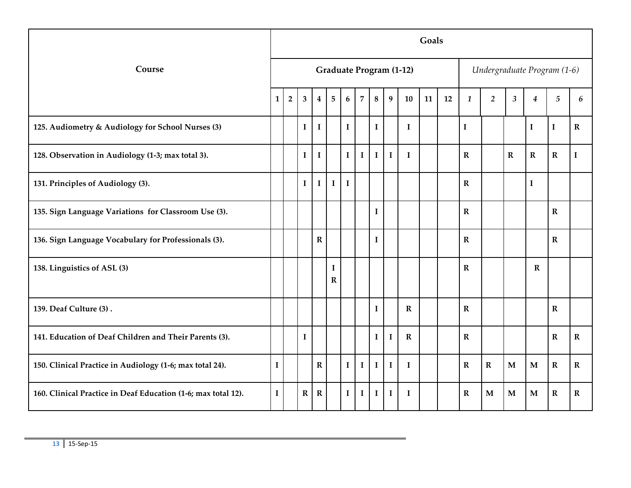|                                                               |                |                |                         |                         |                         |                 |                |             |             |                                | Goals |    |              |                             |                |                  |                |             |
|---------------------------------------------------------------|----------------|----------------|-------------------------|-------------------------|-------------------------|-----------------|----------------|-------------|-------------|--------------------------------|-------|----|--------------|-----------------------------|----------------|------------------|----------------|-------------|
| Course                                                        |                |                |                         |                         |                         |                 |                |             |             | <b>Graduate Program (1-12)</b> |       |    |              | Undergraduate Program (1-6) |                |                  |                |             |
|                                                               | 1 <sup>1</sup> | $\overline{2}$ | $\overline{\mathbf{3}}$ | $\overline{\mathbf{4}}$ | 5                       | $6\phantom{1}6$ | $\overline{7}$ | 8           | 9           | 10                             | 11    | 12 | $\mathbf{1}$ | $\overline{2}$              | $\mathfrak{z}$ | $\boldsymbol{4}$ | $\overline{5}$ | 6           |
| 125. Audiometry & Audiology for School Nurses (3)             |                |                | $\bf{I}$                | $\bf{I}$                |                         | $\mathbf I$     |                | $\mathbf I$ |             | $\bf{I}$                       |       |    | $\mathbf I$  |                             |                | $\mathbf I$      | I              | $\mathbf R$ |
| 128. Observation in Audiology (1-3; max total 3).             |                |                | $\mathbf{I}$            | $\bf{I}$                |                         | $\mathbf{I}$    | $\mathbf{I}$   | $\mathbf I$ | $\mathbf I$ | $\mathbf{I}$                   |       |    | $\mathbf{R}$ |                             | $\mathbf R$    | $\mathbf R$      | $\mathbf R$    | $\mathbf I$ |
| 131. Principles of Audiology (3).                             |                |                | $\mathbf I$             | $\mathbf I$             | $\mathbf I$             | $\mathbf I$     |                |             |             |                                |       |    | $\mathbf R$  |                             |                | $\mathbf I$      |                |             |
| 135. Sign Language Variations for Classroom Use (3).          |                |                |                         |                         |                         |                 |                | $\bf{I}$    |             |                                |       |    | $\mathbf{R}$ |                             |                |                  | $\mathbf{R}$   |             |
| 136. Sign Language Vocabulary for Professionals (3).          |                |                |                         | $\mathbf R$             |                         |                 |                | $\bf{I}$    |             |                                |       |    | $\mathbf R$  |                             |                |                  | $\mathbf R$    |             |
| 138. Linguistics of ASL (3)                                   |                |                |                         |                         | $\bf{I}$<br>$\mathbf R$ |                 |                |             |             |                                |       |    | $\mathbf{R}$ |                             |                | $\mathbf R$      |                |             |
| 139. Deaf Culture (3).                                        |                |                |                         |                         |                         |                 |                | $\bf{I}$    |             | $\mathbf R$                    |       |    | $\mathbf{R}$ |                             |                |                  | $\mathbf{R}$   |             |
| 141. Education of Deaf Children and Their Parents (3).        |                |                | $\bf{I}$                |                         |                         |                 |                | $\bf{I}$    | $\bf{I}$    | $\mathbf R$                    |       |    | $\mathbf R$  |                             |                |                  | $\mathbf R$    | $\mathbf R$ |
| 150. Clinical Practice in Audiology (1-6; max total 24).      | $\mathbf I$    |                |                         | $\mathbf R$             |                         | $\mathbf{I}$    | $\mathbf I$    | $\mathbf I$ | $\mathbf I$ | $\mathbf{I}$                   |       |    | $\mathbf{R}$ | $\mathbf R$                 | $\mathbf{M}$   | $\mathbf{M}$     | $\mathbf R$    | $\mathbf R$ |
| 160. Clinical Practice in Deaf Education (1-6; max total 12). | $\mathbf I$    |                | $\mathbf R$             | $\mathbf R$             |                         | $\mathbf I$     | $\mathbf I$    | $\bf{I}$    | $\bf{I}$    | 1                              |       |    | $\mathbf R$  | $\mathbf{M}$                | $\mathbf{M}$   | $\mathbf{M}$     | $\mathbf R$    | $\mathbf R$ |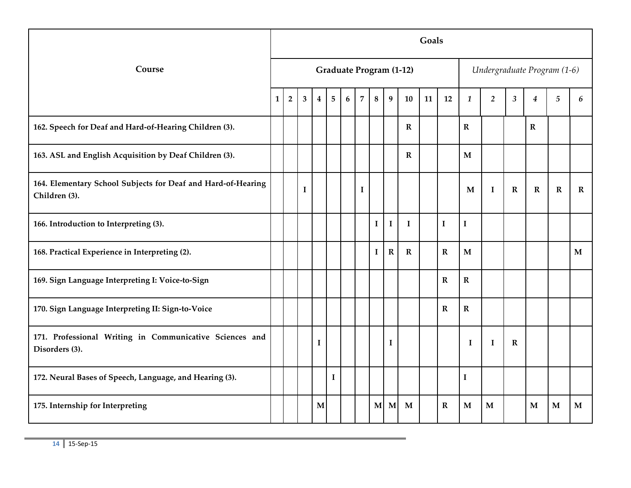|                                                                               |                |                |          |          |                |                  |                |             |             |                                | Goals |             |              |                             |             |                  |                |             |
|-------------------------------------------------------------------------------|----------------|----------------|----------|----------|----------------|------------------|----------------|-------------|-------------|--------------------------------|-------|-------------|--------------|-----------------------------|-------------|------------------|----------------|-------------|
| Course                                                                        |                |                |          |          |                |                  |                |             |             | <b>Graduate Program (1-12)</b> |       |             |              | Undergraduate Program (1-6) |             |                  |                |             |
|                                                                               | $1\phantom{.}$ | $\overline{2}$ | 3        | $\bf{4}$ | $\overline{5}$ | $\boldsymbol{6}$ | $\overline{7}$ | 8           | 9           | 10                             | 11    | 12          | $\mathbf{1}$ | $\overline{2}$              | $\sqrt{3}$  | $\boldsymbol{4}$ | $\overline{5}$ | 6           |
| 162. Speech for Deaf and Hard-of-Hearing Children (3).                        |                |                |          |          |                |                  |                |             |             | $\mathbf R$                    |       |             | ${\bf R}$    |                             |             | $\mathbf R$      |                |             |
| 163. ASL and English Acquisition by Deaf Children (3).                        |                |                |          |          |                |                  |                |             |             | $\mathbf R$                    |       |             | $\mathbf{M}$ |                             |             |                  |                |             |
| 164. Elementary School Subjects for Deaf and Hard-of-Hearing<br>Children (3). |                |                | $\bf{I}$ |          |                |                  | $\mathbf I$    |             |             |                                |       |             | $\mathbf M$  | $\bf{I}$                    | $\mathbf R$ | $\mathbf R$      | $\mathbf R$    | $\mathbf R$ |
| 166. Introduction to Interpreting (3).                                        |                |                |          |          |                |                  |                | $\mathbf I$ | $\bf{I}$    | $\bf{I}$                       |       | $\bf I$     | $\mathbf I$  |                             |             |                  |                |             |
| 168. Practical Experience in Interpreting (2).                                |                |                |          |          |                |                  |                | $\mathbf I$ | $\mathbf R$ | $\mathbf R$                    |       | $\mathbf R$ | $\mathbf{M}$ |                             |             |                  |                | M           |
| 169. Sign Language Interpreting I: Voice-to-Sign                              |                |                |          |          |                |                  |                |             |             |                                |       | $\mathbf R$ | ${\bf R}$    |                             |             |                  |                |             |
| 170. Sign Language Interpreting II: Sign-to-Voice                             |                |                |          |          |                |                  |                |             |             |                                |       | $\mathbf R$ | ${\bf R}$    |                             |             |                  |                |             |
| 171. Professional Writing in Communicative Sciences and<br>Disorders (3).     |                |                |          | I        |                |                  |                |             | $\bf{I}$    |                                |       |             | I            | $\mathbf I$                 | $\mathbf R$ |                  |                |             |
| 172. Neural Bases of Speech, Language, and Hearing (3).                       |                |                |          |          | $\bf I$        |                  |                |             |             |                                |       |             | $\mathbf I$  |                             |             |                  |                |             |
| 175. Internship for Interpreting                                              |                |                |          | M        |                |                  |                | M           | M           | M                              |       | $\mathbf R$ | M            | M                           |             | M                | M              | $\mathbf M$ |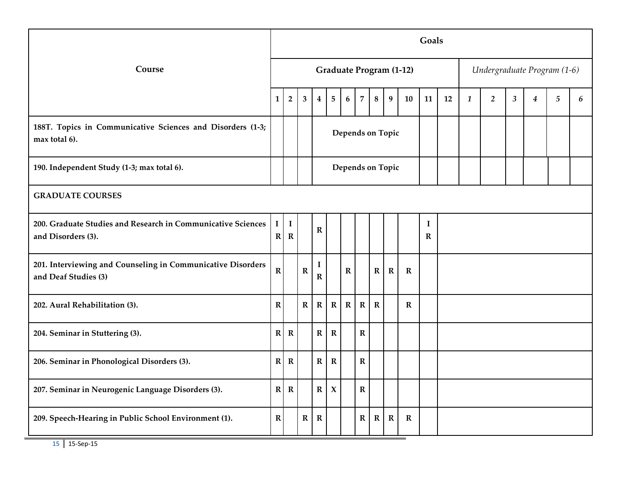|                                                                                     |                          |                            |                         |                  |                     |                  |                |             |                  |                                | Goals                   |    |              |                             |                |                  |                |   |
|-------------------------------------------------------------------------------------|--------------------------|----------------------------|-------------------------|------------------|---------------------|------------------|----------------|-------------|------------------|--------------------------------|-------------------------|----|--------------|-----------------------------|----------------|------------------|----------------|---|
| Course                                                                              |                          |                            |                         |                  |                     |                  |                |             |                  | <b>Graduate Program (1-12)</b> |                         |    |              | Undergraduate Program (1-6) |                |                  |                |   |
|                                                                                     | $\mathbf{1}$             | $\overline{2}$             | $\overline{\mathbf{3}}$ | $\boldsymbol{4}$ | 5                   | $\boldsymbol{6}$ | $\overline{7}$ | $\bf 8$     | 9                | 10                             | 11                      | 12 | $\mathbf{1}$ | $\overline{2}$              | $\mathfrak{z}$ | $\boldsymbol{4}$ | $\overline{5}$ | 6 |
| 188T. Topics in Communicative Sciences and Disorders (1-3;<br>max total 6).         |                          |                            |                         |                  |                     |                  |                |             | Depends on Topic |                                |                         |    |              |                             |                |                  |                |   |
| 190. Independent Study (1-3; max total 6).                                          |                          |                            |                         |                  |                     |                  |                |             | Depends on Topic |                                |                         |    |              |                             |                |                  |                |   |
| <b>GRADUATE COURSES</b>                                                             |                          |                            |                         |                  |                     |                  |                |             |                  |                                |                         |    |              |                             |                |                  |                |   |
| 200. Graduate Studies and Research in Communicative Sciences<br>and Disorders (3).  | $\bf{I}$<br>$\mathbb{R}$ | $\mathbf I$<br>$\mathbf R$ |                         | $\mathbf R$      |                     |                  |                |             |                  |                                | $\bf{I}$<br>$\mathbf R$ |    |              |                             |                |                  |                |   |
| 201. Interviewing and Counseling in Communicative Disorders<br>and Deaf Studies (3) | $\mathbf R$              |                            | $\mathbf R$             | I<br>$\mathbf R$ |                     | $\mathbf R$      |                | $\mathbf R$ | $\mathbf R$      | $\mathbf R$                    |                         |    |              |                             |                |                  |                |   |
| 202. Aural Rehabilitation (3).                                                      | $\mathbf R$              |                            | $\mathbf R$             | $\mathbf R$      | $\mathbf{R}$        | ${\bf R}$        | $\mathbf R$    | $\mathbf R$ |                  | $\mathbf R$                    |                         |    |              |                             |                |                  |                |   |
| 204. Seminar in Stuttering (3).                                                     | R                        | $\mathbf R$                |                         | $\mathbf R$      | $\mathbf R$         |                  | $\mathbf R$    |             |                  |                                |                         |    |              |                             |                |                  |                |   |
| 206. Seminar in Phonological Disorders (3).                                         | $\mathbf{R}$             | $\mathbf R$                |                         | ${\bf R}$        | $\mathbf R$         |                  | ${\bf R}$      |             |                  |                                |                         |    |              |                             |                |                  |                |   |
| 207. Seminar in Neurogenic Language Disorders (3).                                  | $\mathbf{R}$             | $\mathbf R$                |                         | $\mathbf R$      | $\boldsymbol{\chi}$ |                  | ${\bf R}$      |             |                  |                                |                         |    |              |                             |                |                  |                |   |
| 209. Speech-Hearing in Public School Environment (1).                               | ${\bf R}$                |                            | $\mathbf R$             | $\mathbf R$      |                     |                  | $\mathbf R$    | $\mathbf R$ | $\mathbf R$      | $\mathbf R$                    |                         |    |              |                             |                |                  |                |   |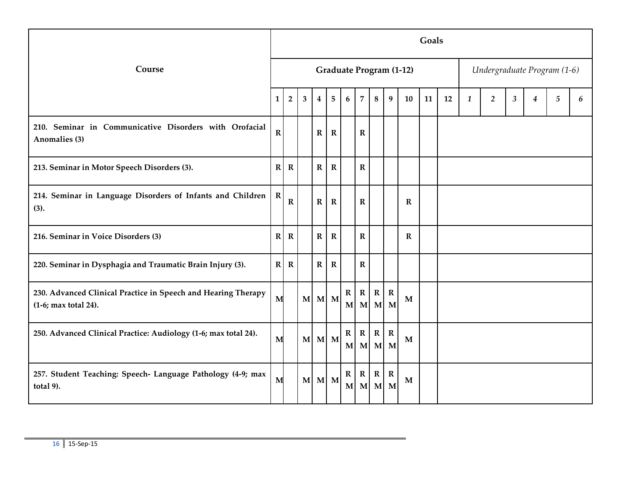|                                                                                       |              |                |              |              |             |                  |                                |             |                    |                                | Goals |    |              |                             |   |   |   |   |
|---------------------------------------------------------------------------------------|--------------|----------------|--------------|--------------|-------------|------------------|--------------------------------|-------------|--------------------|--------------------------------|-------|----|--------------|-----------------------------|---|---|---|---|
| Course                                                                                |              |                |              |              |             |                  |                                |             |                    | <b>Graduate Program (1-12)</b> |       |    |              | Undergraduate Program (1-6) |   |   |   |   |
|                                                                                       | $\mathbf{1}$ | $\overline{2}$ | 3            | 4            | 5           | 6                | $\overline{7}$                 | 8           | 9                  | 10                             | 11    | 12 | $\mathbf{1}$ | $\overline{2}$              | 3 | 4 | 5 | 6 |
| 210. Seminar in Communicative Disorders with Orofacial<br>Anomalies (3)               | $\mathbf R$  |                |              | R            | $\mathbf R$ |                  | $\mathbf R$                    |             |                    |                                |       |    |              |                             |   |   |   |   |
| 213. Seminar in Motor Speech Disorders (3).                                           | R            | $\mathbf R$    |              | $\mathbf{R}$ | $\mathbf R$ |                  | $\mathbf R$                    |             |                    |                                |       |    |              |                             |   |   |   |   |
| 214. Seminar in Language Disorders of Infants and Children<br>(3).                    | $\mathbf R$  | $\mathbf R$    |              | $\mathbf R$  | $\mathbf R$ |                  | $\mathbf R$                    |             |                    | $\mathbf R$                    |       |    |              |                             |   |   |   |   |
| 216. Seminar in Voice Disorders (3)                                                   | R            | $\mathbf R$    |              | $\mathbf R$  | $\mathbf R$ |                  | $\mathbf R$                    |             |                    | $\mathbf R$                    |       |    |              |                             |   |   |   |   |
| 220. Seminar in Dysphagia and Traumatic Brain Injury (3).                             | R            | $\mathbf R$    |              | $\bf R$      | $\mathbf R$ |                  | $\mathbf R$                    |             |                    |                                |       |    |              |                             |   |   |   |   |
| 230. Advanced Clinical Practice in Speech and Hearing Therapy<br>(1-6; max total 24). | M            |                |              | M M M        |             | $\mathbf{R}$     | $\mathbf R$<br>$M$ $M$ $M$ $M$ | $\mathbf R$ | $\mathbf R$        | M                              |       |    |              |                             |   |   |   |   |
| 250. Advanced Clinical Practice: Audiology (1-6; max total 24).                       | M            |                | $\mathbf{M}$ |              | M M         | $\mathbf{R}$     | $\mathbf R$<br>$M$ $M$ $M$ $M$ | $\mathbf R$ | $\mathbf R$        | M                              |       |    |              |                             |   |   |   |   |
| 257. Student Teaching: Speech- Language Pathology (4-9; max<br>total 9).              | M            |                | M            |              | M M         | $\mathbf R$<br>M | ${\bf R}$<br>$\mathbf{M}$      | $\mathbf R$ | $\mathbf R$<br>M M | M                              |       |    |              |                             |   |   |   |   |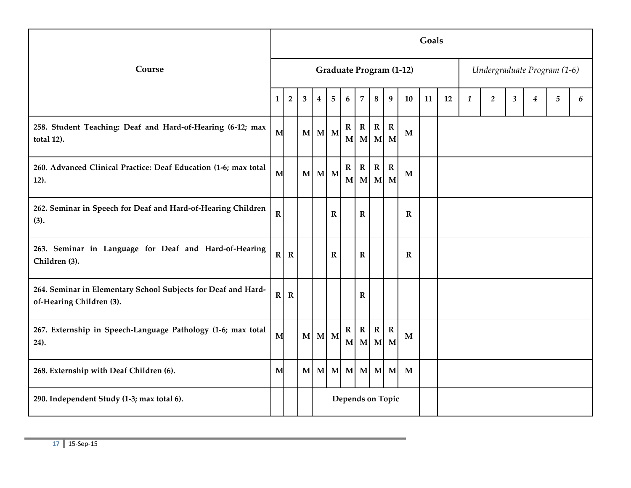|                                                                                           |             |                |                         |             |                |                             |                           |                           |                    |                                | Goals |    |              |                             |                |                  |            |   |
|-------------------------------------------------------------------------------------------|-------------|----------------|-------------------------|-------------|----------------|-----------------------------|---------------------------|---------------------------|--------------------|--------------------------------|-------|----|--------------|-----------------------------|----------------|------------------|------------|---|
| Course                                                                                    |             |                |                         |             |                |                             |                           |                           |                    | <b>Graduate Program (1-12)</b> |       |    |              | Undergraduate Program (1-6) |                |                  |            |   |
|                                                                                           | 1           | $\overline{2}$ | $\overline{\mathbf{3}}$ | 4           | $5\phantom{.}$ | 6                           | $\overline{7}$            | 8                         | 9                  | 10                             | 11    | 12 | $\mathbf{1}$ | $\overline{2}$              | $\mathfrak{Z}$ | $\boldsymbol{4}$ | $\sqrt{5}$ | 6 |
| 258. Student Teaching: Deaf and Hard-of-Hearing (6-12; max<br>total 12).                  | M           |                |                         | $M$ $M$ $M$ |                | $\mathbf R$<br>$\mathbf{M}$ | $\mathbf R$<br>M          | ${\bf R}$<br>$\mathbf{M}$ | $\mathbf R$<br>M   | M                              |       |    |              |                             |                |                  |            |   |
| 260. Advanced Clinical Practice: Deaf Education (1-6; max total<br>12).                   | M           |                |                         | M M M       |                | $\mathbf R$<br>M            | ${\bf R}$<br>$\mathbf{M}$ | ${\bf R}$                 | $\mathbf R$<br>M M | $\mathbf{M}$                   |       |    |              |                             |                |                  |            |   |
| 262. Seminar in Speech for Deaf and Hard-of-Hearing Children<br>(3).                      | $\mathbf R$ |                |                         |             | $\mathbf R$    |                             | $\mathbf R$               |                           |                    | $\mathbf R$                    |       |    |              |                             |                |                  |            |   |
| 263. Seminar in Language for Deaf and Hard-of-Hearing<br>Children (3).                    |             | $R \mid R$     |                         |             | $\mathbf R$    |                             | $\mathbf R$               |                           |                    | $\mathbf R$                    |       |    |              |                             |                |                  |            |   |
| 264. Seminar in Elementary School Subjects for Deaf and Hard-<br>of-Hearing Children (3). |             | $R \mid R$     |                         |             |                |                             | $\mathbf R$               |                           |                    |                                |       |    |              |                             |                |                  |            |   |
| 267. Externship in Speech-Language Pathology (1-6; max total<br>24).                      | M           |                |                         | $M$ $M$ $M$ |                | $\mathbf R$                 | $\mathbf R$<br>M M        | $\mathbf R$               | $\mathbf R$<br>M M | M                              |       |    |              |                             |                |                  |            |   |
| 268. Externship with Deaf Children (6).                                                   | M           |                |                         | M M         | $\mathbf{M}$   |                             | $M$ $M$ $M$ $M$           |                           |                    | $\mathbf{M}$                   |       |    |              |                             |                |                  |            |   |
| 290. Independent Study (1-3; max total 6).                                                |             |                |                         |             |                |                             |                           |                           | Depends on Topic   |                                |       |    |              |                             |                |                  |            |   |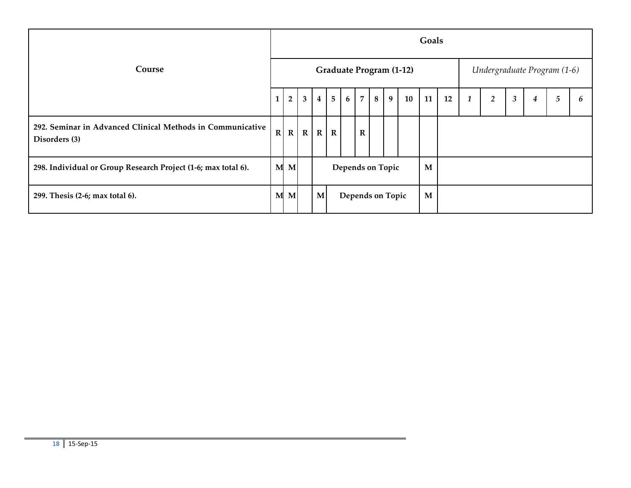|                                                                             |              |                |             |             |                 |                  |                |   |   |                                | Goals       |    |                  |                             |                |   |   |   |
|-----------------------------------------------------------------------------|--------------|----------------|-------------|-------------|-----------------|------------------|----------------|---|---|--------------------------------|-------------|----|------------------|-----------------------------|----------------|---|---|---|
| Course                                                                      |              |                |             |             |                 |                  |                |   |   | <b>Graduate Program (1-12)</b> |             |    |                  | Undergraduate Program (1-6) |                |   |   |   |
|                                                                             |              | $\overline{2}$ | 3           | $\bf{4}$    | $5\overline{)}$ | 6                | $\overline{7}$ | 8 | 9 | 10                             | 11          | 12 | $\boldsymbol{1}$ | $\overline{2}$              | $\mathfrak{Z}$ | 4 | 5 | h |
| 292. Seminar in Advanced Clinical Methods in Communicative<br>Disorders (3) | $\mathbb{R}$ | $\mathbf R$    | $\mathbf R$ | $\mathbf R$ | $\mathbf R$     |                  | ${\bf R}$      |   |   |                                |             |    |                  |                             |                |   |   |   |
| 298. Individual or Group Research Project (1-6; max total 6).               |              | M M            |             |             |                 | Depends on Topic |                |   |   |                                | $\mathbf M$ |    |                  |                             |                |   |   |   |
| 299. Thesis (2-6; max total 6).                                             |              | M M            |             | M           |                 | Depends on Topic |                |   |   |                                | M           |    |                  |                             |                |   |   |   |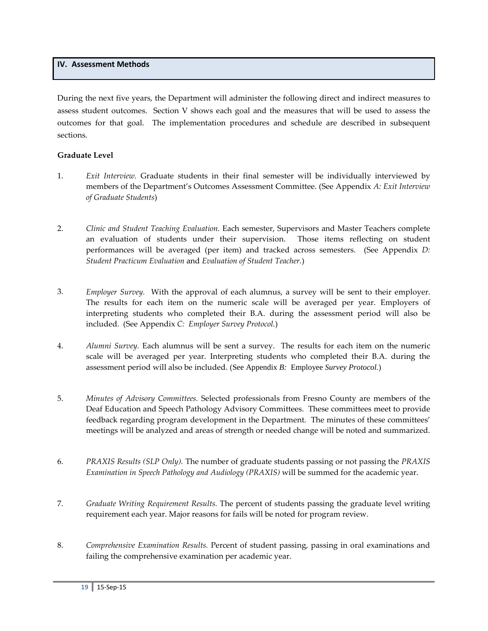#### **IV. Assessment Methods**

During the next five years, the Department will administer the following direct and indirect measures to assess student outcomes. Section V shows each goal and the measures that will be used to assess the outcomes for that goal. The implementation procedures and schedule are described in subsequent sections.

#### **Graduate Level**

- 1. *Exit Interview.* Graduate students in their final semester will be individually interviewed by members of the Department's Outcomes Assessment Committee. (See Appendix *A: Exit Interview of Graduate Students*)
- 2. *Clinic and Student Teaching Evaluation.* Each semester, Supervisors and Master Teachers complete an evaluation of students under their supervision. Those items reflecting on student performances will be averaged (per item) and tracked across semesters. (See Appendix *D: Student Practicum Evaluation* and *Evaluation of Student Teacher.*)
- 3. *Employer Survey.* With the approval of each alumnus, a survey will be sent to their employer. The results for each item on the numeric scale will be averaged per year. Employers of interpreting students who completed their B.A. during the assessment period will also be included. (See Appendix *C: Employer Survey Protocol.*)
- 4. *Alumni Survey.* Each alumnus will be sent a survey. The results for each item on the numeric scale will be averaged per year. Interpreting students who completed their B.A. during the assessment period will also be included. (See Appendix *B:* Employee *Survey Protocol.*)
- 5. *Minutes of Advisory Committees.* Selected professionals from Fresno County are members of the Deaf Education and Speech Pathology Advisory Committees. These committees meet to provide feedback regarding program development in the Department. The minutes of these committees' meetings will be analyzed and areas of strength or needed change will be noted and summarized.
- 6. *PRAXIS Results (SLP Only).* The number of graduate students passing or not passing the *PRAXIS Examination in Speech Pathology and Audiology (PRAXIS)* will be summed for the academic year.
- 7. *Graduate Writing Requirement Results.* The percent of students passing the graduate level writing requirement each year. Major reasons for fails will be noted for program review.
- 8. *Comprehensive Examination Results.* Percent of student passing, passing in oral examinations and failing the comprehensive examination per academic year.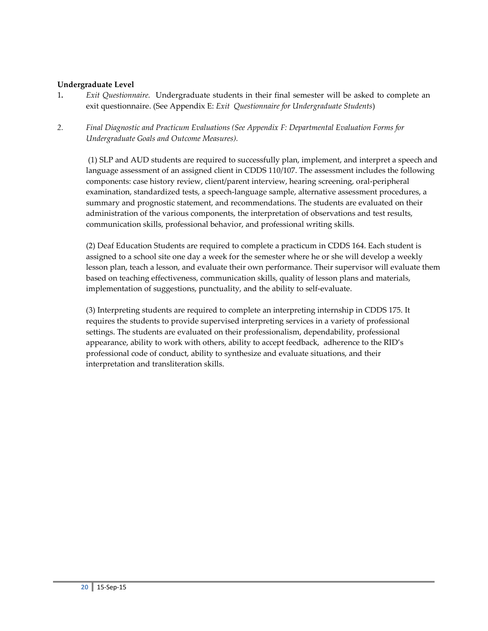#### **Undergraduate Level**

- 1*. Exit Questionnaire.* Undergraduate students in their final semester will be asked to complete an exit questionnaire. (See Appendix E: *Exit Questionnaire for Undergraduate Students*)
- *2. Final Diagnostic and Practicum Evaluations (See Appendix F: Departmental Evaluation Forms for Undergraduate Goals and Outcome Measures).*

(1) SLP and AUD students are required to successfully plan, implement, and interpret a speech and language assessment of an assigned client in CDDS 110/107. The assessment includes the following components: case history review, client/parent interview, hearing screening, oral-peripheral examination, standardized tests, a speech-language sample, alternative assessment procedures, a summary and prognostic statement, and recommendations. The students are evaluated on their administration of the various components, the interpretation of observations and test results, communication skills, professional behavior, and professional writing skills.

(2) Deaf Education Students are required to complete a practicum in CDDS 164. Each student is assigned to a school site one day a week for the semester where he or she will develop a weekly lesson plan, teach a lesson, and evaluate their own performance. Their supervisor will evaluate them based on teaching effectiveness, communication skills, quality of lesson plans and materials, implementation of suggestions, punctuality, and the ability to self-evaluate.

(3) Interpreting students are required to complete an interpreting internship in CDDS 175. It requires the students to provide supervised interpreting services in a variety of professional settings. The students are evaluated on their professionalism, dependability, professional appearance, ability to work with others, ability to accept feedback, adherence to the RID's professional code of conduct, ability to synthesize and evaluate situations, and their interpretation and transliteration skills.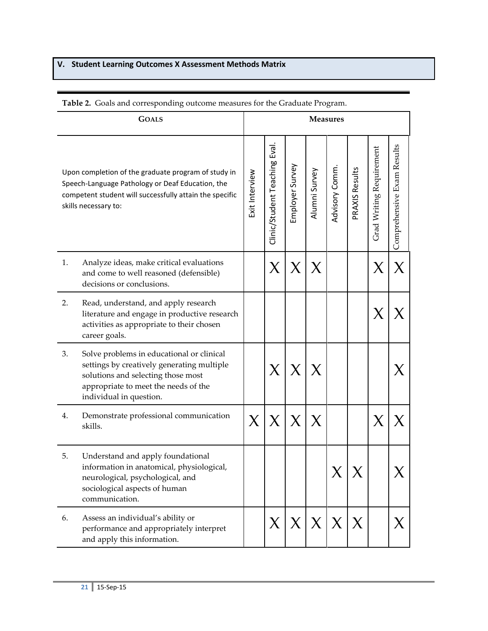# **V. Student Learning Outcomes X Assessment Methods Matrix**

|    | <b>GOALS</b>                                                                                                                                                                                     |                |                               |                 |                | <b>Measures</b> |                |                          |                            |
|----|--------------------------------------------------------------------------------------------------------------------------------------------------------------------------------------------------|----------------|-------------------------------|-----------------|----------------|-----------------|----------------|--------------------------|----------------------------|
|    | Upon completion of the graduate program of study in<br>Speech-Language Pathology or Deaf Education, the<br>competent student will successfully attain the specific<br>skills necessary to:       | Exit Interview | Clinic/Student Teaching Eval. | Employer Survey | Alumni Survey  | Advisory Comm   | PRAXIS Results | Grad Writing Requirement | Comprehensive Exam Results |
| 1. | Analyze ideas, make critical evaluations<br>and come to well reasoned (defensible)<br>decisions or conclusions.                                                                                  |                | $\bm{\chi}$                   | X               |                |                 |                | X                        |                            |
| 2. | Read, understand, and apply research<br>literature and engage in productive research<br>activities as appropriate to their chosen<br>career goals.                                               |                |                               |                 |                |                 |                |                          |                            |
| 3. | Solve problems in educational or clinical<br>settings by creatively generating multiple<br>solutions and selecting those most<br>appropriate to meet the needs of the<br>individual in question. |                | X                             |                 |                |                 |                |                          |                            |
| 4. | Demonstrate professional communication<br>skills.                                                                                                                                                | X              | $\chi$                        | X               |                |                 |                |                          |                            |
| 5. | Understand and apply foundational<br>information in anatomical, physiological,<br>neurological, psychological, and<br>sociological aspects of human<br>communication.                            |                |                               |                 |                |                 |                |                          |                            |
| 6. | Assess an individual's ability or<br>performance and appropriately interpret<br>and apply this information.                                                                                      |                | $X_{\cdot}$                   | $\vert X \vert$ | X <sub>1</sub> | $\chi$          | $\chi$         |                          | $\bm{\mathsf{X}}$          |

## **Table 2.** Goals and corresponding outcome measures for the Graduate Program.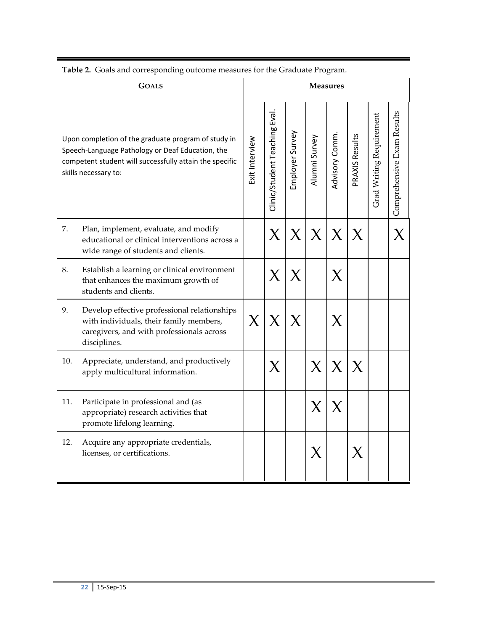|     | <b>GOALS</b>                                                                                                                                                                               |                |                               |                 |               | <b>Measures</b> |                |                          |                            |
|-----|--------------------------------------------------------------------------------------------------------------------------------------------------------------------------------------------|----------------|-------------------------------|-----------------|---------------|-----------------|----------------|--------------------------|----------------------------|
|     | Upon completion of the graduate program of study in<br>Speech-Language Pathology or Deaf Education, the<br>competent student will successfully attain the specific<br>skills necessary to: | Exit Interview | Clinic/Student Teaching Eval. | Employer Survey | Alumni Survey | Advisory Comm   | PRAXIS Results | Grad Writing Requirement | Comprehensive Exam Results |
| 7.  | Plan, implement, evaluate, and modify<br>educational or clinical interventions across a<br>wide range of students and clients.                                                             |                | X                             | X               | $\chi$        | X               | X              |                          |                            |
| 8.  | Establish a learning or clinical environment<br>that enhances the maximum growth of<br>students and clients.                                                                               |                | X                             | X               |               | X               |                |                          |                            |
| 9.  | Develop effective professional relationships<br>with individuals, their family members,<br>caregivers, and with professionals across<br>disciplines.                                       | $\chi$         | X                             |                 |               |                 |                |                          |                            |
| 10. | Appreciate, understand, and productively<br>apply multicultural information.                                                                                                               |                | $\bm{\chi}$                   |                 | $\bm{\chi}$   | $\bm{\chi}$     | X              |                          |                            |
| 11. | Participate in professional and (as<br>appropriate) research activities that<br>promote lifelong learning.                                                                                 |                |                               |                 | $\bm{\chi}$   | X               |                |                          |                            |
| 12. | Acquire any appropriate credentials,<br>licenses, or certifications.                                                                                                                       |                |                               |                 | X             |                 | X              |                          |                            |

**Table 2.** Goals and corresponding outcome measures for the Graduate Program.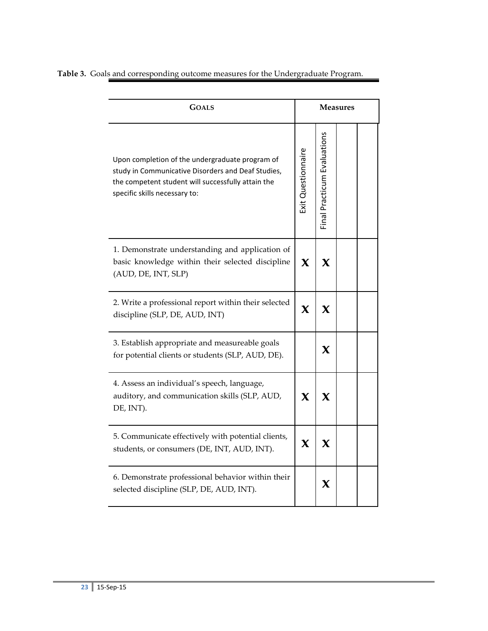|  |  | Table 3. Goals and corresponding outcome measures for the Undergraduate Program. |  |
|--|--|----------------------------------------------------------------------------------|--|
|  |  |                                                                                  |  |

| <b>GOALS</b>                                                                                                                                                                                 |                    |                             | <b>Measures</b> |  |
|----------------------------------------------------------------------------------------------------------------------------------------------------------------------------------------------|--------------------|-----------------------------|-----------------|--|
| Upon completion of the undergraduate program of<br>study in Communicative Disorders and Deaf Studies,<br>the competent student will successfully attain the<br>specific skills necessary to: | Exit Questionnaire | Final Practicum Evaluations |                 |  |
| 1. Demonstrate understanding and application of<br>basic knowledge within their selected discipline<br>(AUD, DE, INT, SLP)                                                                   | $\mathbf x$        | $\mathbf x$                 |                 |  |
| 2. Write a professional report within their selected<br>discipline (SLP, DE, AUD, INT)                                                                                                       | $\mathbf x$        | X                           |                 |  |
| 3. Establish appropriate and measureable goals<br>for potential clients or students (SLP, AUD, DE).                                                                                          |                    | $\mathbf x$                 |                 |  |
| 4. Assess an individual's speech, language,<br>auditory, and communication skills (SLP, AUD,<br>DE, INT).                                                                                    | $\mathbf x$        | $\boldsymbol{\chi}$         |                 |  |
| 5. Communicate effectively with potential clients,<br>students, or consumers (DE, INT, AUD, INT).                                                                                            | $\mathbf x$        | $\mathbf x$                 |                 |  |
| 6. Demonstrate professional behavior within their<br>selected discipline (SLP, DE, AUD, INT).                                                                                                |                    | X                           |                 |  |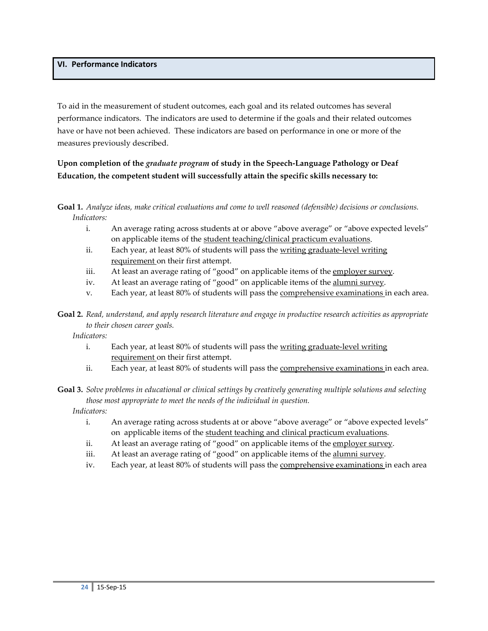## **VI. Performance Indicators**

To aid in the measurement of student outcomes, each goal and its related outcomes has several performance indicators. The indicators are used to determine if the goals and their related outcomes have or have not been achieved. These indicators are based on performance in one or more of the measures previously described.

## **Upon completion of the** *graduate program* **of study in the Speech-Language Pathology or Deaf Education, the competent student will successfully attain the specific skills necessary to:**

#### **Goal 1.** *Analyze ideas, make critical evaluations and come to well reasoned (defensible) decisions or conclusions. Indicators:*

- i. An average rating across students at or above "above average" or "above expected levels" on applicable items of the student teaching/clinical practicum evaluations.
- ii. Each year, at least 80% of students will pass the writing graduate-level writing requirement on their first attempt.
- iii. At least an average rating of "good" on applicable items of the employer survey.
- iv. At least an average rating of "good" on applicable items of the alumni survey.
- v. Each year, at least 80% of students will pass the **comprehensive examinations** in each area.
- **Goal 2.** *Read, understand, and apply research literature and engage in productive research activities as appropriate to their chosen career goals.*

*Indicators:* 

- i. Each year, at least 80% of students will pass the writing graduate-level writing requirement on their first attempt.
- ii. Each year, at least 80% of students will pass the comprehensive examinations in each area.

## **Goal 3.** *Solve problems in educational or clinical settings by creatively generating multiple solutions and selecting those most appropriate to meet the needs of the individual in question.*

*Indicators:* 

- i. An average rating across students at or above "above average" or "above expected levels" on applicable items of the student teaching and clinical practicum evaluations.
- ii. At least an average rating of "good" on applicable items of the employer survey.
- iii. At least an average rating of "good" on applicable items of the alumni survey.
- iv. Each year, at least 80% of students will pass the **comprehensive examinations** in each area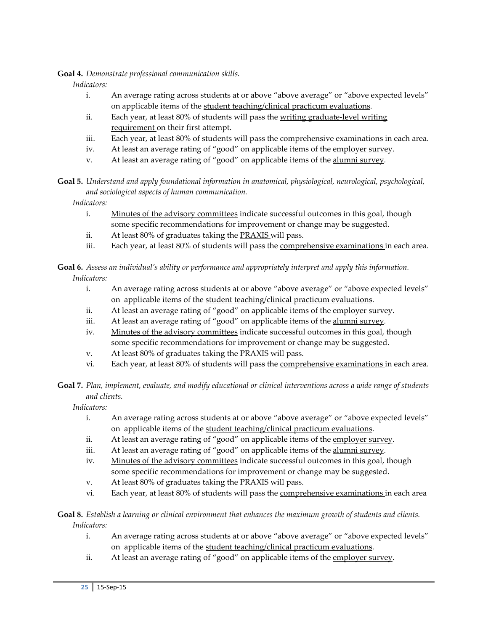**Goal 4.** *Demonstrate professional communication skills.*

*Indicators:* 

- i. An average rating across students at or above "above average" or "above expected levels" on applicable items of the student teaching/clinical practicum evaluations.
- ii. Each year, at least 80% of students will pass the writing graduate-level writing requirement on their first attempt.
- iii. Each year, at least 80% of students will pass the comprehensive examinations in each area.
- iv. At least an average rating of "good" on applicable items of the employer survey.
- v. At least an average rating of "good" on applicable items of the alumni survey.

**Goal 5.** *Understand and apply foundational information in anatomical, physiological, neurological, psychological, and sociological aspects of human communication.*

*Indicators:* 

- i. Minutes of the advisory committees indicate successful outcomes in this goal, though some specific recommendations for improvement or change may be suggested.
- ii. At least 80% of graduates taking the PRAXIS will pass.
- iii. Each year, at least 80% of students will pass the **comprehensive examinations** in each area.

**Goal 6.** *Assess an individual's ability or performance and appropriately interpret and apply this information. Indicators:* 

- i. An average rating across students at or above "above average" or "above expected levels" on applicable items of the student teaching/clinical practicum evaluations.
- ii. At least an average rating of "good" on applicable items of the employer survey.
- iii. At least an average rating of "good" on applicable items of the alumni survey.
- iv. Minutes of the advisory committees indicate successful outcomes in this goal, though some specific recommendations for improvement or change may be suggested.
- v. At least 80% of graduates taking the **PRAXIS** will pass.
- vi. Each year, at least 80% of students will pass the **comprehensive examinations** in each area.

**Goal 7.** *Plan, implement, evaluate, and modify educational or clinical interventions across a wide range of students and clients.*

*Indicators:* 

- i. An average rating across students at or above "above average" or "above expected levels" on applicable items of the student teaching/clinical practicum evaluations.
- ii. At least an average rating of "good" on applicable items of the employer survey.
- iii. At least an average rating of "good" on applicable items of the alumni survey.
- iv. Minutes of the advisory committees indicate successful outcomes in this goal, though some specific recommendations for improvement or change may be suggested.
- v. At least 80% of graduates taking the PRAXIS will pass.
- vi. Each year, at least 80% of students will pass the **comprehensive examinations** in each area

**Goal 8.** *Establish a learning or clinical environment that enhances the maximum growth of students and clients. Indicators:* 

- i. An average rating across students at or above "above average" or "above expected levels" on applicable items of the student teaching/clinical practicum evaluations.
- ii. At least an average rating of "good" on applicable items of the employer survey.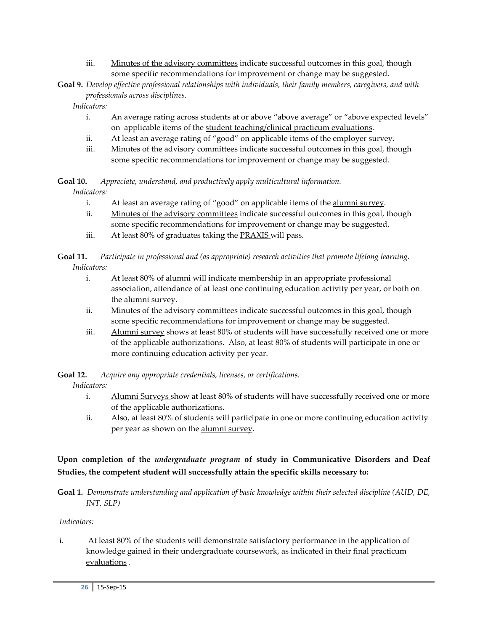- iii. Minutes of the advisory committees indicate successful outcomes in this goal, though some specific recommendations for improvement or change may be suggested.
- **Goal 9.** *Develop effective professional relationships with individuals, their family members, caregivers, and with professionals across disciplines.*

*Indicators:* 

- i. An average rating across students at or above "above average" or "above expected levels" on applicable items of the student teaching/clinical practicum evaluations.
- ii. At least an average rating of "good" on applicable items of the employer survey.
- iii. Minutes of the advisory committees indicate successful outcomes in this goal, though some specific recommendations for improvement or change may be suggested.

**Goal 10.** *Appreciate, understand, and productively apply multicultural information.*

*Indicators:* 

- i. At least an average rating of "good" on applicable items of the alumni survey.
- ii. Minutes of the advisory committees indicate successful outcomes in this goal, though some specific recommendations for improvement or change may be suggested.
- iii. At least 80% of graduates taking the **PRAXIS** will pass.

**Goal 11.** *Participate in professional and (as appropriate) research activities that promote lifelong learning. Indicators:* 

- i. At least 80% of alumni will indicate membership in an appropriate professional association, attendance of at least one continuing education activity per year, or both on the alumni survey.
- ii. Minutes of the advisory committees indicate successful outcomes in this goal, though some specific recommendations for improvement or change may be suggested.
- iii. Alumni survey shows at least 80% of students will have successfully received one or more of the applicable authorizations. Also, at least 80% of students will participate in one or more continuing education activity per year.

**Goal 12.** *Acquire any appropriate credentials, licenses, or certifications.*

*Indicators:* 

- i. Alumni Surveys show at least 80% of students will have successfully received one or more of the applicable authorizations.
- ii. Also, at least 80% of students will participate in one or more continuing education activity per year as shown on the alumni survey.

## **Upon completion of the** *undergraduate program* **of study in Communicative Disorders and Deaf Studies, the competent student will successfully attain the specific skills necessary to:**

**Goal 1.** *Demonstrate understanding and application of basic knowledge within their selected discipline (AUD, DE, INT, SLP)*

## *Indicators:*

i. At least 80% of the students will demonstrate satisfactory performance in the application of knowledge gained in their undergraduate coursework, as indicated in their final practicum evaluations .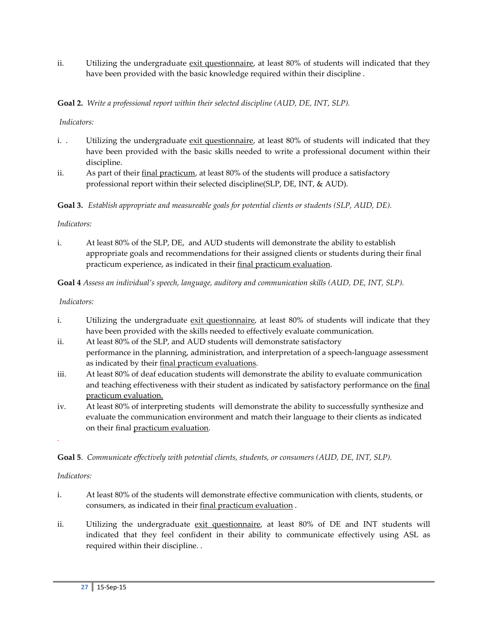ii. Utilizing the undergraduate exit questionnaire, at least 80% of students will indicated that they have been provided with the basic knowledge required within their discipline .

## **Goal 2.** *Write a professional report within their selected discipline (AUD, DE, INT, SLP).*

#### *Indicators:*

- i. . Utilizing the undergraduate exit questionnaire, at least 80% of students will indicated that they have been provided with the basic skills needed to write a professional document within their discipline.
- ii. As part of their final practicum, at least 80% of the students will produce a satisfactory professional report within their selected discipline(SLP, DE, INT, & AUD).

**Goal 3.** *Establish appropriate and measureable goals for potential clients or students (SLP, AUD, DE).*

#### *Indicators:*

i. At least 80% of the SLP, DE, and AUD students will demonstrate the ability to establish appropriate goals and recommendations for their assigned clients or students during their final practicum experience, as indicated in their final practicum evaluation.

**Goal 4** *Assess an individual's speech, language, auditory and communication skills (AUD, DE, INT, SLP).*

#### *Indicators:*

- i. Utilizing the undergraduate exit questionnaire, at least 80% of students will indicate that they have been provided with the skills needed to effectively evaluate communication.
- ii. At least 80% of the SLP, and AUD students will demonstrate satisfactory performance in the planning, administration, and interpretation of a speech-language assessment as indicated by their final practicum evaluations.
- iii. At least 80% of deaf education students will demonstrate the ability to evaluate communication and teaching effectiveness with their student as indicated by satisfactory performance on the final practicum evaluation.
- iv. At least 80% of interpreting students will demonstrate the ability to successfully synthesize and evaluate the communication environment and match their language to their clients as indicated on their final practicum evaluation.

**Goal 5**. *Communicate effectively with potential clients, students, or consumers (AUD, DE, INT, SLP).*

#### *Indicators:*

*.*

- i. At least 80% of the students will demonstrate effective communication with clients, students, or consumers, as indicated in their final practicum evaluation .
- ii. Utilizing the undergraduate exit questionnaire, at least 80% of DE and INT students will indicated that they feel confident in their ability to communicate effectively using ASL as required within their discipline. .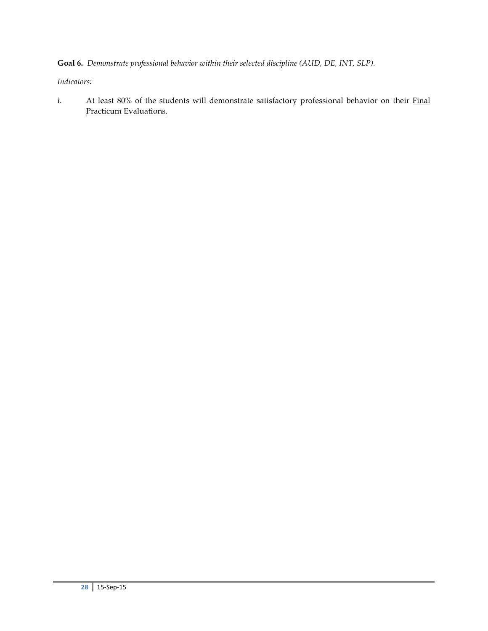**Goal 6.** *Demonstrate professional behavior within their selected discipline (AUD, DE, INT, SLP).*

*Indicators:*

i. At least 80% of the students will demonstrate satisfactory professional behavior on their Final Practicum Evaluations.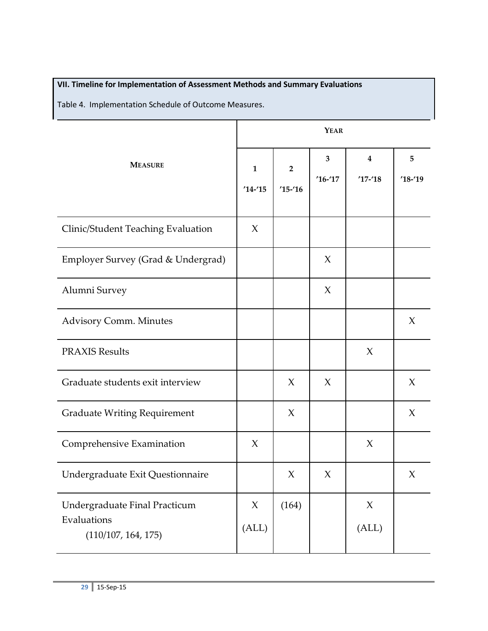# **VII. Timeline for Implementation of Assessment Methods and Summary Evaluations**

Table 4. Implementation Schedule of Outcome Measures.

|                                                                     | <b>YEAR</b>                |                             |                |                                |                 |  |
|---------------------------------------------------------------------|----------------------------|-----------------------------|----------------|--------------------------------|-----------------|--|
| <b>MEASURE</b>                                                      | $\mathbf{1}$<br>$'14 - 15$ | $\overline{2}$<br>$15 - 16$ | 3<br>$'16-'17$ | $\boldsymbol{4}$<br>$'17 - 18$ | 5<br>$'18 - 19$ |  |
| Clinic/Student Teaching Evaluation                                  | X                          |                             |                |                                |                 |  |
| Employer Survey (Grad & Undergrad)                                  |                            |                             | X              |                                |                 |  |
| Alumni Survey                                                       |                            |                             | X              |                                |                 |  |
| <b>Advisory Comm. Minutes</b>                                       |                            |                             |                |                                | $\chi$          |  |
| <b>PRAXIS Results</b>                                               |                            |                             |                | X                              |                 |  |
| Graduate students exit interview                                    |                            | $\chi$                      | $\chi$         |                                | $\chi$          |  |
| <b>Graduate Writing Requirement</b>                                 |                            | $\chi$                      |                |                                | $\chi$          |  |
| Comprehensive Examination                                           | X                          |                             |                | X                              |                 |  |
| Undergraduate Exit Questionnaire                                    |                            | X                           | X              |                                | X               |  |
| Undergraduate Final Practicum<br>Evaluations<br>(110/107, 164, 175) | X<br>(ALL)                 | (164)                       |                | X<br>(ALL)                     |                 |  |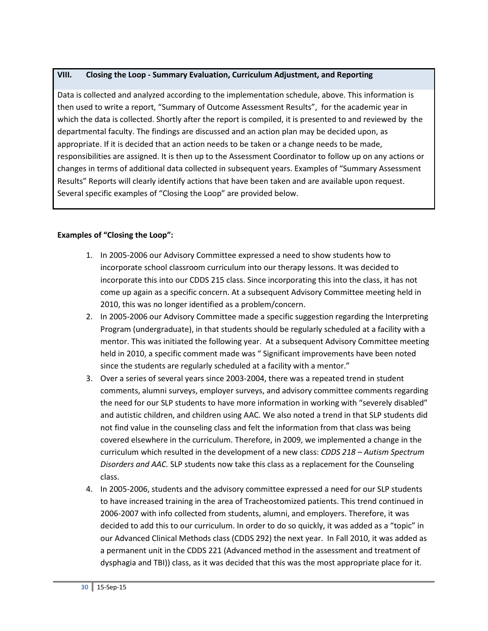## **VIII. Closing the Loop - Summary Evaluation, Curriculum Adjustment, and Reporting**

Data is collected and analyzed according to the implementation schedule, above. This information is then used to write a report, "Summary of Outcome Assessment Results", for the academic year in which the data is collected. Shortly after the report is compiled, it is presented to and reviewed by the departmental faculty. The findings are discussed and an action plan may be decided upon, as appropriate. If it is decided that an action needs to be taken or a change needs to be made, responsibilities are assigned. It is then up to the Assessment Coordinator to follow up on any actions or changes in terms of additional data collected in subsequent years. Examples of "Summary Assessment Results" Reports will clearly identify actions that have been taken and are available upon request. Several specific examples of "Closing the Loop" are provided below.

## **Examples of "Closing the Loop":**

- 1. In 2005-2006 our Advisory Committee expressed a need to show students how to incorporate school classroom curriculum into our therapy lessons. It was decided to incorporate this into our CDDS 215 class. Since incorporating this into the class, it has not come up again as a specific concern. At a subsequent Advisory Committee meeting held in 2010, this was no longer identified as a problem/concern.
- 2. In 2005-2006 our Advisory Committee made a specific suggestion regarding the Interpreting Program (undergraduate), in that students should be regularly scheduled at a facility with a mentor. This was initiated the following year. At a subsequent Advisory Committee meeting held in 2010, a specific comment made was " Significant improvements have been noted since the students are regularly scheduled at a facility with a mentor."
- 3. Over a series of several years since 2003-2004, there was a repeated trend in student comments, alumni surveys, employer surveys, and advisory committee comments regarding the need for our SLP students to have more information in working with "severely disabled" and autistic children, and children using AAC. We also noted a trend in that SLP students did not find value in the counseling class and felt the information from that class was being covered elsewhere in the curriculum. Therefore, in 2009, we implemented a change in the curriculum which resulted in the development of a new class: *CDDS 218 – Autism Spectrum Disorders and AAC.* SLP students now take this class as a replacement for the Counseling class.
- 4. In 2005-2006, students and the advisory committee expressed a need for our SLP students to have increased training in the area of Tracheostomized patients. This trend continued in 2006-2007 with info collected from students, alumni, and employers. Therefore, it was decided to add this to our curriculum. In order to do so quickly, it was added as a "topic" in our Advanced Clinical Methods class (CDDS 292) the next year. In Fall 2010, it was added as a permanent unit in the CDDS 221 (Advanced method in the assessment and treatment of dysphagia and TBI)) class, as it was decided that this was the most appropriate place for it.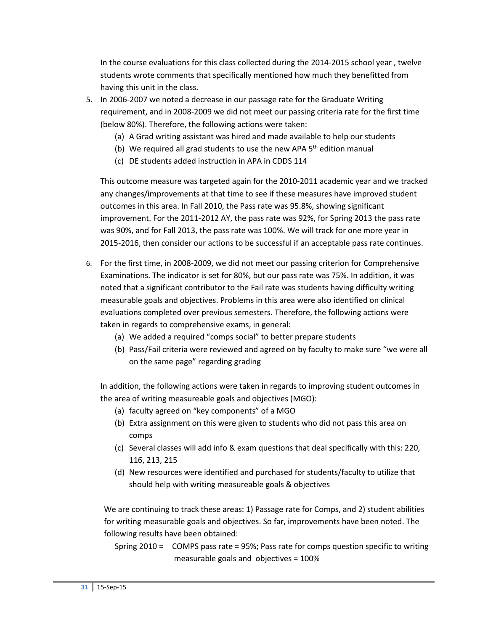In the course evaluations for this class collected during the 2014-2015 school year , twelve students wrote comments that specifically mentioned how much they benefitted from having this unit in the class.

- 5. In 2006-2007 we noted a decrease in our passage rate for the Graduate Writing requirement, and in 2008-2009 we did not meet our passing criteria rate for the first time (below 80%). Therefore, the following actions were taken:
	- (a) A Grad writing assistant was hired and made available to help our students
	- (b) We required all grad students to use the new APA  $5<sup>th</sup>$  edition manual
	- (c) DE students added instruction in APA in CDDS 114

This outcome measure was targeted again for the 2010-2011 academic year and we tracked any changes/improvements at that time to see if these measures have improved student outcomes in this area. In Fall 2010, the Pass rate was 95.8%, showing significant improvement. For the 2011-2012 AY, the pass rate was 92%, for Spring 2013 the pass rate was 90%, and for Fall 2013, the pass rate was 100%. We will track for one more year in 2015-2016, then consider our actions to be successful if an acceptable pass rate continues.

- 6. For the first time, in 2008-2009, we did not meet our passing criterion for Comprehensive Examinations. The indicator is set for 80%, but our pass rate was 75%. In addition, it was noted that a significant contributor to the Fail rate was students having difficulty writing measurable goals and objectives. Problems in this area were also identified on clinical evaluations completed over previous semesters. Therefore, the following actions were taken in regards to comprehensive exams, in general:
	- (a) We added a required "comps social" to better prepare students
	- (b) Pass/Fail criteria were reviewed and agreed on by faculty to make sure "we were all on the same page" regarding grading

In addition, the following actions were taken in regards to improving student outcomes in the area of writing measureable goals and objectives (MGO):

- (a) faculty agreed on "key components" of a MGO
- (b) Extra assignment on this were given to students who did not pass this area on comps
- (c) Several classes will add info & exam questions that deal specifically with this: 220, 116, 213, 215
- (d) New resources were identified and purchased for students/faculty to utilize that should help with writing measureable goals & objectives

 We are continuing to track these areas: 1) Passage rate for Comps, and 2) student abilities for writing measurable goals and objectives. So far, improvements have been noted. The following results have been obtained:

Spring 2010 = COMPS pass rate = 95%; Pass rate for comps question specific to writing measurable goals and objectives = 100%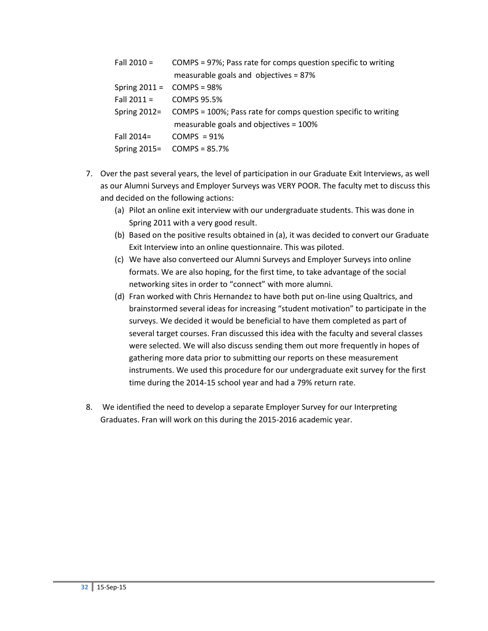| Fall 2010 =                         | COMPS = 97%; Pass rate for comps question specific to writing               |
|-------------------------------------|-----------------------------------------------------------------------------|
|                                     | measurable goals and objectives = $87\%$                                    |
| Spring $2011 = \text{COMPS} = 98\%$ |                                                                             |
| Fall $2011 = \text{COMPS } 95.5\%$  |                                                                             |
|                                     | Spring 2012= COMPS = 100%; Pass rate for comps question specific to writing |
|                                     | measurable goals and objectives = 100%                                      |
| Fall 2014=                          | $COMPS = 91\%$                                                              |
|                                     | Spring $2015 = \text{COMPS} = 85.7\%$                                       |

- 7. Over the past several years, the level of participation in our Graduate Exit Interviews, as well as our Alumni Surveys and Employer Surveys was VERY POOR. The faculty met to discuss this and decided on the following actions:
	- (a) Pilot an online exit interview with our undergraduate students. This was done in Spring 2011 with a very good result.
	- (b) Based on the positive results obtained in (a), it was decided to convert our Graduate Exit Interview into an online questionnaire. This was piloted.
	- (c) We have also converteed our Alumni Surveys and Employer Surveys into online formats. We are also hoping, for the first time, to take advantage of the social networking sites in order to "connect" with more alumni.
	- (d) Fran worked with Chris Hernandez to have both put on-line using Qualtrics, and brainstormed several ideas for increasing "student motivation" to participate in the surveys. We decided it would be beneficial to have them completed as part of several target courses. Fran discussed this idea with the faculty and several classes were selected. We will also discuss sending them out more frequently in hopes of gathering more data prior to submitting our reports on these measurement instruments. We used this procedure for our undergraduate exit survey for the first time during the 2014-15 school year and had a 79% return rate.
- 8. We identified the need to develop a separate Employer Survey for our Interpreting Graduates. Fran will work on this during the 2015-2016 academic year.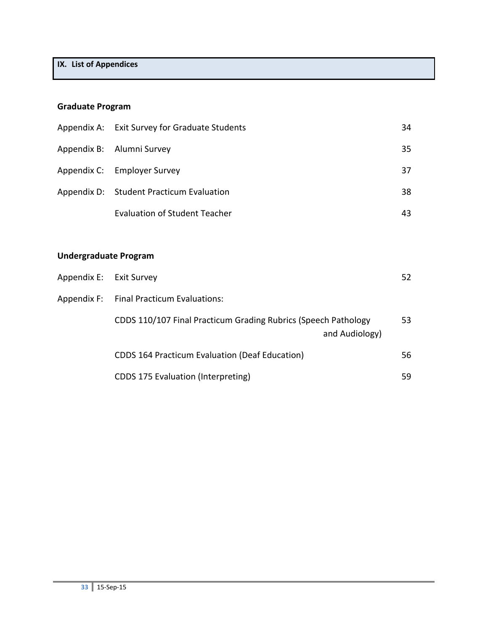# **IX. List of Appendices**

# **Graduate Program**

|                              | Appendix A: Exit Survey for Graduate Students                                    | 34 |
|------------------------------|----------------------------------------------------------------------------------|----|
|                              | Appendix B: Alumni Survey                                                        | 35 |
|                              | Appendix C: Employer Survey                                                      | 37 |
|                              | Appendix D: Student Practicum Evaluation                                         | 38 |
|                              | <b>Evaluation of Student Teacher</b>                                             | 43 |
|                              |                                                                                  |    |
| <b>Undergraduate Program</b> |                                                                                  |    |
| Appendix E: Exit Survey      |                                                                                  | 52 |
|                              | Appendix F: Final Practicum Evaluations:                                         |    |
|                              | CDDS 110/107 Final Practicum Grading Rubrics (Speech Pathology<br>and Audiology) | 53 |
|                              | <b>CDDS 164 Practicum Evaluation (Deaf Education)</b>                            | 56 |
|                              | <b>CDDS 175 Evaluation (Interpreting)</b>                                        | 59 |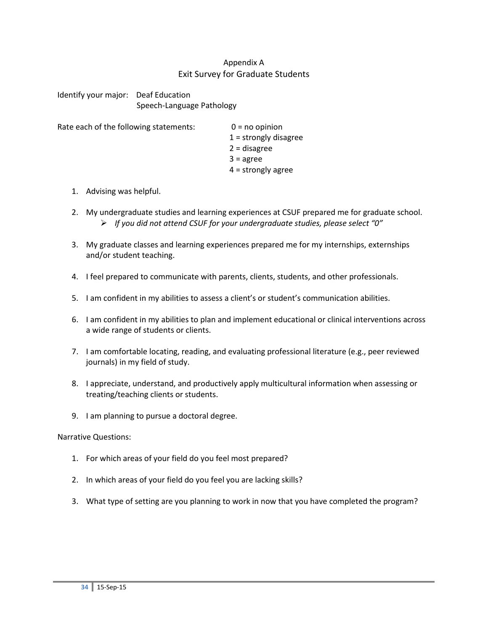## Appendix A Exit Survey for Graduate Students

Identify your major: Deaf Education Speech-Language Pathology

Rate each of the following statements:  $0 = no$  opinion

1 = strongly disagree 2 = disagree  $3 = \text{agree}$ 4 = strongly agree

- 1. Advising was helpful.
- 2. My undergraduate studies and learning experiences at CSUF prepared me for graduate school. *If you did not attend CSUF for your undergraduate studies, please select "0"*
- 3. My graduate classes and learning experiences prepared me for my internships, externships and/or student teaching.
- 4. I feel prepared to communicate with parents, clients, students, and other professionals.
- 5. I am confident in my abilities to assess a client's or student's communication abilities.
- 6. I am confident in my abilities to plan and implement educational or clinical interventions across a wide range of students or clients.
- 7. I am comfortable locating, reading, and evaluating professional literature (e.g., peer reviewed journals) in my field of study.
- 8. I appreciate, understand, and productively apply multicultural information when assessing or treating/teaching clients or students.
- 9. I am planning to pursue a doctoral degree.

Narrative Questions:

- 1. For which areas of your field do you feel most prepared?
- 2. In which areas of your field do you feel you are lacking skills?
- 3. What type of setting are you planning to work in now that you have completed the program?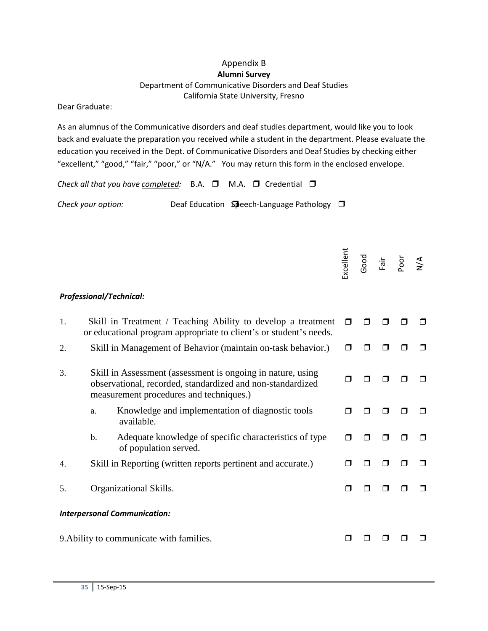## Appendix B **Alumni Survey** Department of Communicative Disorders and Deaf Studies California State University, Fresno

#### Dear Graduate:

As an alumnus of the Communicative disorders and deaf studies department, would like you to look back and evaluate the preparation you received while a student in the department. Please evaluate the education you received in the Dept. of Communicative Disorders and Deaf Studies by checking either "excellent," "good," "fair," "poor," or "N/A." You may return this form in the enclosed envelope.

*Check all that you have completed:* B.A. ❒ M.A. ❒ Credential ❒

Check your option: **Deaf Education Speech-Language Pathology** □

|    |                                                                                                                                                                      | Excellent | poog | Fair | POOT<br>P | $\sum_{i=1}^{n}$ |
|----|----------------------------------------------------------------------------------------------------------------------------------------------------------------------|-----------|------|------|-----------|------------------|
|    | <b>Professional/Technical:</b>                                                                                                                                       |           |      |      |           |                  |
| 1. | Skill in Treatment / Teaching Ability to develop a treatment<br>or educational program appropriate to client's or student's needs.                                   |           |      |      |           |                  |
| 2. | Skill in Management of Behavior (maintain on-task behavior.)                                                                                                         |           |      |      |           |                  |
| 3. | Skill in Assessment (assessment is ongoing in nature, using<br>observational, recorded, standardized and non-standardized<br>measurement procedures and techniques.) |           |      |      |           |                  |
|    | Knowledge and implementation of diagnostic tools<br>a.<br>available.                                                                                                 |           |      |      |           |                  |
|    | Adequate knowledge of specific characteristics of type<br>b.<br>of population served.                                                                                | П         | ⊓    |      |           |                  |
| 4. | Skill in Reporting (written reports pertinent and accurate.)                                                                                                         |           |      |      |           |                  |
| 5. | Organizational Skills.                                                                                                                                               |           |      |      |           |                  |
|    | <b>Interpersonal Communication:</b>                                                                                                                                  |           |      |      |           |                  |
|    | 9. Ability to communicate with families.                                                                                                                             |           |      |      |           |                  |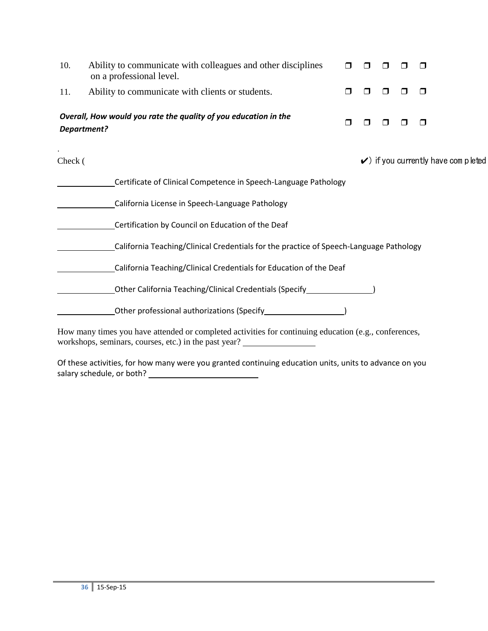| 10.                | Ability to communicate with colleagues and other disciplines<br>on a professional level.              |        |   |   |                                                |
|--------------------|-------------------------------------------------------------------------------------------------------|--------|---|---|------------------------------------------------|
| 11.                | Ability to communicate with clients or students.                                                      | $\Box$ | H | □ | $\Box$                                         |
| <b>Department?</b> | Overall, How would you rate the quality of you education in the                                       | $\Box$ |   |   | □                                              |
| Check (            |                                                                                                       |        |   |   | $\checkmark$ ) if you currently have completed |
|                    | Certificate of Clinical Competence in Speech-Language Pathology                                       |        |   |   |                                                |
|                    | California License in Speech-Language Pathology                                                       |        |   |   |                                                |
|                    | Certification by Council on Education of the Deaf                                                     |        |   |   |                                                |
|                    | California Teaching/Clinical Credentials for the practice of Speech-Language Pathology                |        |   |   |                                                |
|                    | California Teaching/Clinical Credentials for Education of the Deaf                                    |        |   |   |                                                |
|                    | Other California Teaching/Clinical Credentials (Specify_________________________                      |        |   |   |                                                |
|                    |                                                                                                       |        |   |   |                                                |
|                    | How many times you have attended or completed activities for continuing education (e.g., conferences, |        |   |   |                                                |

workshops, seminars, courses, etc.) in the past year?

Of these activities, for how many were you granted continuing education units, units to advance on you salary schedule, or both?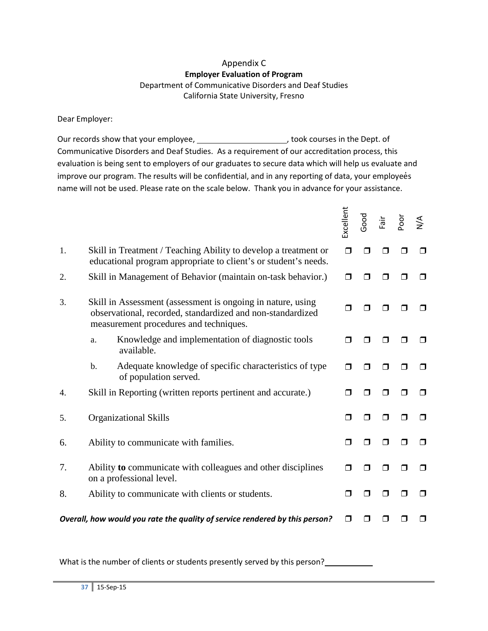## Appendix C **Employer Evaluation of Program** Department of Communicative Disorders and Deaf Studies California State University, Fresno

#### Dear Employer:

Our records show that your employee, \_\_\_\_\_\_\_\_\_\_\_\_\_\_\_\_\_\_\_\_\_\_\_\_\_, took courses in the Dept. of Communicative Disorders and Deaf Studies. As a requirement of our accreditation process, this evaluation is being sent to employers of our graduates to secure data which will help us evaluate and improve our program. The results will be confidential, and in any reporting of data, your employees name will not be used. Please rate on the scale below. Thank you in advance for your assistance.

|    |                                                                                                                                                                     | Excellent | Good | Fair | Poor | $\frac{4}{2}$ |
|----|---------------------------------------------------------------------------------------------------------------------------------------------------------------------|-----------|------|------|------|---------------|
| 1. | Skill in Treatment / Teaching Ability to develop a treatment or<br>educational program appropriate to client's or student's needs.                                  | ⊓         | ⊓    |      |      | П             |
| 2. | Skill in Management of Behavior (maintain on-task behavior.)                                                                                                        | П         |      |      |      | ⊓             |
| 3. | Skill in Assessment (assessment is ongoing in nature, using<br>observational, recorded, standardized and non-standardized<br>measurement procedures and techniques. | П         |      |      |      |               |
|    | Knowledge and implementation of diagnostic tools<br>a.<br>available.                                                                                                | $\Box$    | П    | П    |      |               |
|    | Adequate knowledge of specific characteristics of type<br>b.<br>of population served.                                                                               | ⊓         |      |      |      |               |
| 4. | Skill in Reporting (written reports pertinent and accurate.)                                                                                                        | ⊓         | ⊓    | П    |      | ⊓             |
| 5. | <b>Organizational Skills</b>                                                                                                                                        | $\Box$    | ⊓    |      |      | П             |
| 6. | Ability to communicate with families.                                                                                                                               | $\Box$    | ⊓    | П    |      | ⊓             |
| 7. | Ability to communicate with colleagues and other disciplines<br>on a professional level.                                                                            | $\Box$    | ⊓    | ⊓    | ⊓    | ⊓             |
| 8. | Ability to communicate with clients or students.                                                                                                                    | $\Box$    | ⊓    | П    |      | ⊓             |
|    | Overall, how would you rate the quality of service rendered by this person?                                                                                         | ⊓         |      |      |      |               |

What is the number of clients or students presently served by this person?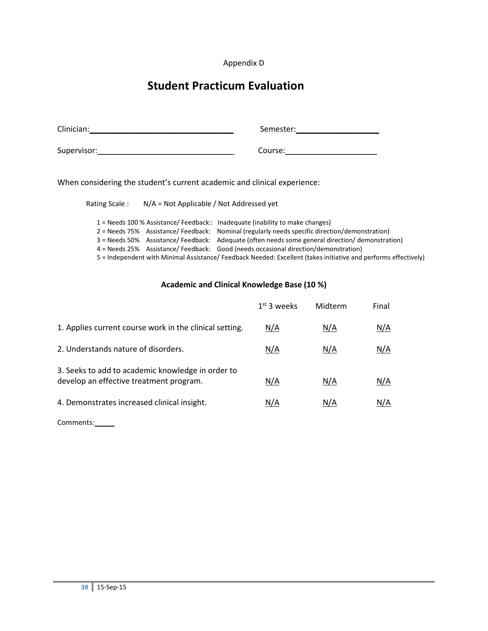#### Appendix D

# **Student Practicum Evaluation**

| Clinician:  | Semester: |
|-------------|-----------|
| Supervisor: | Course:   |

When considering the student's current academic and clinical experience:

| Rating Scale: | $N/A$ = Not Applicable / Not Addressed yet |  |
|---------------|--------------------------------------------|--|
|               |                                            |  |

1 = Needs 100 % Assistance/ Feedback:: Inadequate (inability to make changes) 2 = Needs 75% Assistance/ Feedback: Nominal (regularly needs specific direction/demonstration) 3 = Needs 50% Assistance/ Feedback: Adequate (often needs some general direction/ demonstration) 4 = Needs 25% Assistance/ Feedback: Good (needs occasional direction/demonstration) 5 = Independent with Minimal Assistance/ Feedback Needed: Excellent (takes initiative and performs effectively)

#### **Academic and Clinical Knowledge Base (10 %)**

|                                                                                              | $1st$ 3 weeks | Midterm | Final |
|----------------------------------------------------------------------------------------------|---------------|---------|-------|
| 1. Applies current course work in the clinical setting.                                      | N/A           | N/A     | N/A   |
| 2. Understands nature of disorders.                                                          | N/A           | N/A     | N/A   |
| 3. Seeks to add to academic knowledge in order to<br>develop an effective treatment program. | N/A           | N/A     | N/A   |
| 4. Demonstrates increased clinical insight.                                                  | N/A           | N/A     | N/A   |

Comments: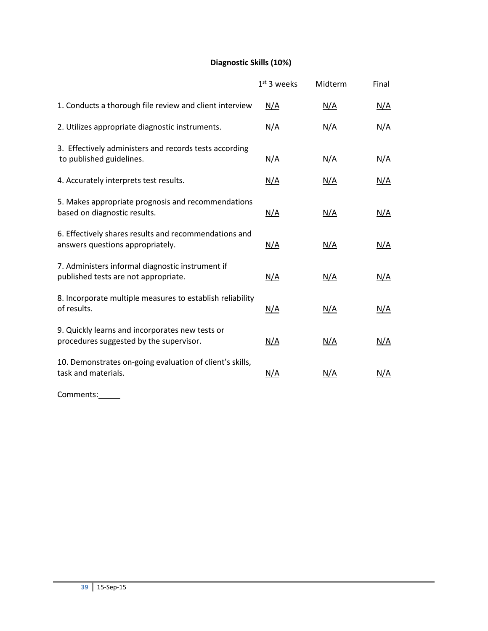# **Diagnostic Skills (10%)**

|                                                                                            | $1st$ 3 weeks | Midterm    | Final      |
|--------------------------------------------------------------------------------------------|---------------|------------|------------|
| 1. Conducts a thorough file review and client interview                                    | N/A           | N/A        | N/A        |
| 2. Utilizes appropriate diagnostic instruments.                                            | N/A           | N/A        | N/A        |
| 3. Effectively administers and records tests according<br>to published guidelines.         | N/A           | N/A        | N/A        |
| 4. Accurately interprets test results.                                                     | N/A           | N/A        | <u>N/A</u> |
| 5. Makes appropriate prognosis and recommendations<br>based on diagnostic results.         | <u>N/A</u>    | <u>N/A</u> | N/A        |
| 6. Effectively shares results and recommendations and<br>answers questions appropriately.  | N/A           | N/A        | N/A        |
| 7. Administers informal diagnostic instrument if<br>published tests are not appropriate.   | N/A           | N/A        | N/A        |
| 8. Incorporate multiple measures to establish reliability<br>of results.                   | N/A           | N/A        | N/A        |
| 9. Quickly learns and incorporates new tests or<br>procedures suggested by the supervisor. | N/A           | <u>N/A</u> | N/A        |
| 10. Demonstrates on-going evaluation of client's skills,<br>task and materials.            | <u>N/A</u>    | N/A        | N/A        |

Comments: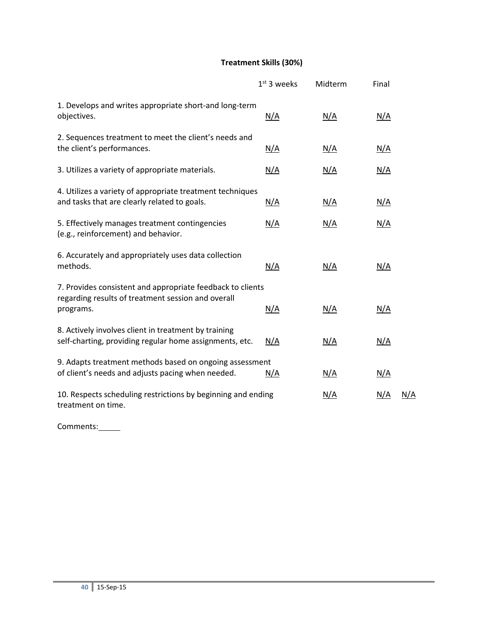# **Treatment Skills (30%)**

|                                                                                                                               | $1st$ 3 weeks | Midterm    | Final      |     |
|-------------------------------------------------------------------------------------------------------------------------------|---------------|------------|------------|-----|
| 1. Develops and writes appropriate short-and long-term<br>objectives.                                                         | N/A           | <u>N/A</u> | N/A        |     |
| 2. Sequences treatment to meet the client's needs and<br>the client's performances.                                           | <u>N/A</u>    | <u>N/A</u> | N/A        |     |
| 3. Utilizes a variety of appropriate materials.                                                                               | N/A           | <u>N/A</u> | N/A        |     |
| 4. Utilizes a variety of appropriate treatment techniques<br>and tasks that are clearly related to goals.                     | <u>N/A</u>    | <u>N/A</u> | N/A        |     |
| 5. Effectively manages treatment contingencies<br>(e.g., reinforcement) and behavior.                                         | <u>N/A</u>    | <u>N/A</u> | N/A        |     |
| 6. Accurately and appropriately uses data collection<br>methods.                                                              | N/A           | N/A        | N/A        |     |
| 7. Provides consistent and appropriate feedback to clients<br>regarding results of treatment session and overall<br>programs. | N/A           | N/A        | N/A        |     |
| 8. Actively involves client in treatment by training<br>self-charting, providing regular home assignments, etc.               | N/A           | N/A        | N/A        |     |
| 9. Adapts treatment methods based on ongoing assessment<br>of client's needs and adjusts pacing when needed.                  | N/A           | <u>N/A</u> | <u>N/A</u> |     |
| 10. Respects scheduling restrictions by beginning and ending<br>treatment on time.                                            |               | <u>N/A</u> | <u>N/A</u> | N/A |

Comments:\_\_\_\_\_\_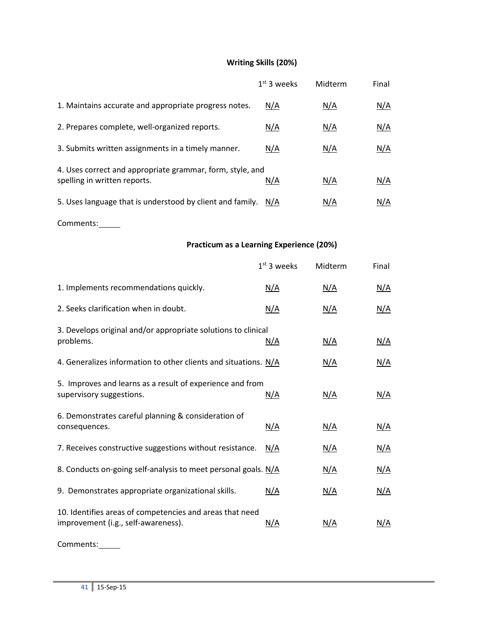# **Writing Skills (20%)**

|                                                                                           | $1st$ 3 weeks | Midterm | Final |
|-------------------------------------------------------------------------------------------|---------------|---------|-------|
| 1. Maintains accurate and appropriate progress notes.                                     | N/A           | N/A     | N/A   |
| 2. Prepares complete, well-organized reports.                                             | N/A           | N/A     | N/A   |
| 3. Submits written assignments in a timely manner.                                        | N/A           | N/A     | N/A   |
| 4. Uses correct and appropriate grammar, form, style, and<br>spelling in written reports. | N/A           | N/A     | N/A   |
| 5. Uses language that is understood by client and family.                                 | N/A           | N/A     | N/A   |

Comments:

# **Practicum as a Learning Experience (20%)**

|                                                                                                 | $1st$ 3 weeks | Midterm    | Final      |
|-------------------------------------------------------------------------------------------------|---------------|------------|------------|
| 1. Implements recommendations quickly.                                                          | <u>N/A</u>    | <u>N/A</u> | <u>N/A</u> |
| 2. Seeks clarification when in doubt.                                                           | <u>N/A</u>    | <u>N/A</u> | <u>N/A</u> |
| 3. Develops original and/or appropriate solutions to clinical<br>problems.                      | N/A           | N/A        | N/A        |
| 4. Generalizes information to other clients and situations. N/A                                 |               | <u>N/A</u> | <u>N/A</u> |
| 5. Improves and learns as a result of experience and from<br>supervisory suggestions.           | <u>N/A</u>    | <u>N/A</u> | <u>N/A</u> |
| 6. Demonstrates careful planning & consideration of<br>consequences.                            | <u>N/A</u>    | N/A        | N/A        |
| 7. Receives constructive suggestions without resistance.                                        | N/A           | <u>N/A</u> | <u>N/A</u> |
| 8. Conducts on-going self-analysis to meet personal goals. N/A                                  |               | N/A        | N/A        |
| 9. Demonstrates appropriate organizational skills.                                              | N/A           | N/A        | N/A        |
| 10. Identifies areas of competencies and areas that need<br>improvement (i.g., self-awareness). | N/A           | <u>N/A</u> | <u>N/A</u> |

Comments: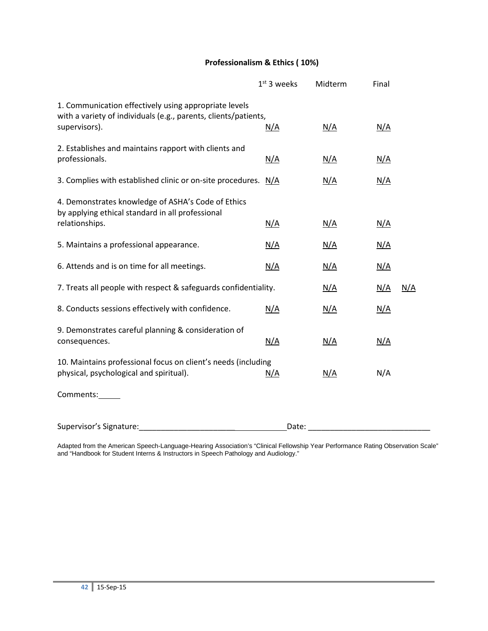# **Professionalism & Ethics ( 10%)**

|                                                                                                                          | $1st$ 3 weeks | Midterm    | Final      |            |
|--------------------------------------------------------------------------------------------------------------------------|---------------|------------|------------|------------|
| 1. Communication effectively using appropriate levels<br>with a variety of individuals (e.g., parents, clients/patients, |               |            |            |            |
| supervisors).                                                                                                            | N/A           | N/A        | N/A        |            |
| 2. Establishes and maintains rapport with clients and<br>professionals.                                                  | <u>N/A</u>    | <u>N/A</u> | <u>N/A</u> |            |
| 3. Complies with established clinic or on-site procedures. N/A                                                           |               | N/A        | N/A        |            |
| 4. Demonstrates knowledge of ASHA's Code of Ethics<br>by applying ethical standard in all professional                   |               |            |            |            |
| relationships.                                                                                                           | N/A           | <u>N/A</u> | N/A        |            |
| 5. Maintains a professional appearance.                                                                                  | <u>N/A</u>    | <u>N/A</u> | <u>N/A</u> |            |
| 6. Attends and is on time for all meetings.                                                                              | <u>N/A</u>    | <u>N/A</u> | <u>N/A</u> |            |
| 7. Treats all people with respect & safeguards confidentiality.                                                          |               | <u>N/A</u> | <u>N/A</u> | <u>N/A</u> |
| 8. Conducts sessions effectively with confidence.                                                                        | N/A           | <u>N/A</u> | <u>N/A</u> |            |
| 9. Demonstrates careful planning & consideration of                                                                      |               |            |            |            |
| consequences.                                                                                                            | N/A           | <u>N/A</u> | <u>N/A</u> |            |
| 10. Maintains professional focus on client's needs (including                                                            |               |            |            |            |
| physical, psychological and spiritual).                                                                                  | N/A           | <u>N/A</u> | N/A        |            |
| Comments:                                                                                                                |               |            |            |            |
| Supervisor's Signature:                                                                                                  | Date:         |            |            |            |

Adapted from the American Speech-Language-Hearing Association's "Clinical Fellowship Year Performance Rating Observation Scale" and "Handbook for Student Interns & Instructors in Speech Pathology and Audiology."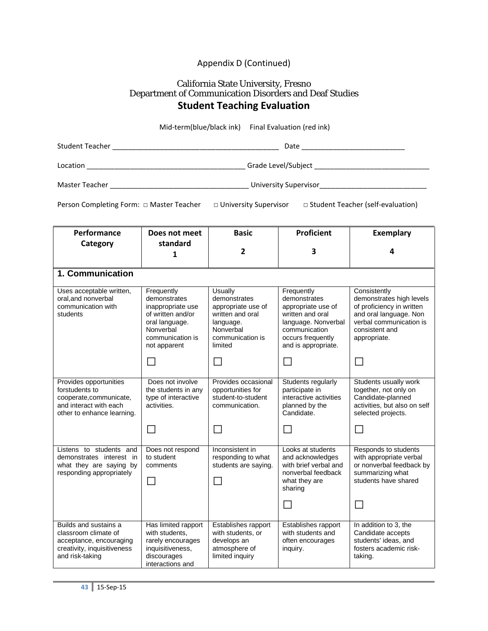# Appendix D (Continued)

## California State University, Fresno Department of Communication Disorders and Deaf Studies **Student Teaching Evaluation**

|                                                                                                                             |                                                                                                                                         | Mid-term(blue/black ink) Final Evaluation (red ink)                                                                        |                                                                                                                                                          |                                                                                                                                                              |  |
|-----------------------------------------------------------------------------------------------------------------------------|-----------------------------------------------------------------------------------------------------------------------------------------|----------------------------------------------------------------------------------------------------------------------------|----------------------------------------------------------------------------------------------------------------------------------------------------------|--------------------------------------------------------------------------------------------------------------------------------------------------------------|--|
|                                                                                                                             |                                                                                                                                         |                                                                                                                            |                                                                                                                                                          |                                                                                                                                                              |  |
|                                                                                                                             |                                                                                                                                         |                                                                                                                            |                                                                                                                                                          |                                                                                                                                                              |  |
|                                                                                                                             |                                                                                                                                         |                                                                                                                            |                                                                                                                                                          |                                                                                                                                                              |  |
| Person Completing Form: □ Master Teacher □ University Supervisor □ Student Teacher (self-evaluation)                        |                                                                                                                                         |                                                                                                                            |                                                                                                                                                          |                                                                                                                                                              |  |
| Performance                                                                                                                 | Does not meet                                                                                                                           | <b>Basic</b>                                                                                                               | <b>Proficient</b>                                                                                                                                        | <b>Exemplary</b>                                                                                                                                             |  |
| Category                                                                                                                    | standard<br>1                                                                                                                           | $\mathbf{2}$                                                                                                               | 3                                                                                                                                                        | 4                                                                                                                                                            |  |
| 1. Communication                                                                                                            |                                                                                                                                         |                                                                                                                            |                                                                                                                                                          |                                                                                                                                                              |  |
| Uses acceptable written,<br>oral, and nonverbal<br>communication with<br>students                                           | Frequently<br>demonstrates<br>inappropriate use<br>of written and/or<br>oral language.<br>Nonverbal<br>communication is<br>not apparent | Usually<br>demonstrates<br>appropriate use of<br>written and oral<br>language.<br>Nonverbal<br>communication is<br>limited | Frequently<br>demonstrates<br>appropriate use of<br>written and oral<br>language. Nonverbal<br>communication<br>occurs frequently<br>and is appropriate. | Consistently<br>demonstrates high levels<br>of proficiency in written<br>and oral language. Non<br>verbal communication is<br>consistent and<br>appropriate. |  |
|                                                                                                                             | □                                                                                                                                       | $\Box$                                                                                                                     | $\Box$                                                                                                                                                   | $\Box$                                                                                                                                                       |  |
| Provides opportunities<br>forstudents to<br>cooperate, communicate,<br>and interact with each<br>other to enhance learning. | Does not involve<br>the students in any<br>type of interactive<br>activities.                                                           | Provides occasional<br>opportunities for<br>student-to-student<br>communication.                                           | Students regularly<br>participate in<br>interactive activities<br>planned by the<br>Candidate.                                                           | Students usually work<br>together, not only on<br>Candidate-planned<br>activities, but also on self<br>selected projects.                                    |  |
|                                                                                                                             | П                                                                                                                                       | $\Box$                                                                                                                     | $\mathsf{L}$                                                                                                                                             | $\Box$                                                                                                                                                       |  |
| Listens to students and<br>demonstrates interest in<br>what they are saying by<br>responding appropriately                  | Does not respond<br>to student<br>comments                                                                                              | Inconsistent in<br>responding to what<br>students are saying.                                                              | Looks at students<br>and acknowledges<br>with brief verbal and<br>nonverbal feedback<br>what they are<br>sharing                                         | Responds to students<br>with appropriate verbal<br>or nonverbal feedback by<br>summarizing what<br>students have shared                                      |  |
| Builds and sustains a<br>classroom climate of<br>acceptance, encouraging<br>creativity, inquisitiveness<br>and risk-taking  | Has limited rapport<br>with students,<br>rarely encourages<br>inquisitiveness,<br>discourages<br>interactions and                       | Establishes rapport<br>with students, or<br>develops an<br>atmosphere of<br>limited inquiry                                | Establishes rapport<br>with students and<br>often encourages<br>inquiry.                                                                                 | In addition to 3, the<br>Candidate accepts<br>students' ideas, and<br>fosters academic risk-<br>taking.                                                      |  |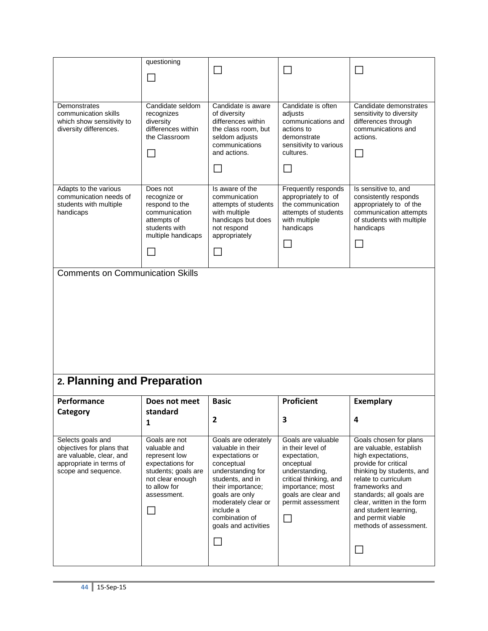|                                                                                                                              | questioning                                                                                                                                                  | $\overline{\phantom{a}}$                                                                                                                                                                                                                          | $\sim$                                                                                                                                                                                     |                                                                                                                                                                                                                                                                                                          |
|------------------------------------------------------------------------------------------------------------------------------|--------------------------------------------------------------------------------------------------------------------------------------------------------------|---------------------------------------------------------------------------------------------------------------------------------------------------------------------------------------------------------------------------------------------------|--------------------------------------------------------------------------------------------------------------------------------------------------------------------------------------------|----------------------------------------------------------------------------------------------------------------------------------------------------------------------------------------------------------------------------------------------------------------------------------------------------------|
|                                                                                                                              |                                                                                                                                                              |                                                                                                                                                                                                                                                   |                                                                                                                                                                                            |                                                                                                                                                                                                                                                                                                          |
| Demonstrates<br>communication skills<br>which show sensitivity to<br>diversity differences.                                  | Candidate seldom<br>recognizes<br>diversity<br>differences within<br>the Classroom                                                                           | Candidate is aware<br>of diversity<br>differences within<br>the class room, but<br>seldom adjusts<br>communications<br>and actions.                                                                                                               | Candidate is often<br>adjusts<br>communications and<br>actions to<br>demonstrate<br>sensitivity to various<br>cultures.                                                                    | Candidate demonstrates<br>sensitivity to diversity<br>differences through<br>communications and<br>actions.<br>$\mathcal{L}_{\mathcal{A}}$                                                                                                                                                               |
| Adapts to the various<br>communication needs of<br>students with multiple<br>handicaps                                       | Does not<br>recognize or<br>respond to the<br>communication<br>attempts of<br>students with<br>multiple handicaps                                            | Is aware of the<br>communication<br>attempts of students<br>with multiple<br>handicaps but does<br>not respond<br>appropriately<br>$\blacksquare$                                                                                                 | Frequently responds<br>appropriately to of<br>the communication<br>attempts of students<br>with multiple<br>handicaps                                                                      | Is sensitive to, and<br>consistently responds<br>appropriately to of the<br>communication attempts<br>of students with multiple<br>handicaps                                                                                                                                                             |
| <b>Comments on Communication Skills</b>                                                                                      |                                                                                                                                                              |                                                                                                                                                                                                                                                   |                                                                                                                                                                                            |                                                                                                                                                                                                                                                                                                          |
| 2. Planning and Preparation                                                                                                  |                                                                                                                                                              |                                                                                                                                                                                                                                                   |                                                                                                                                                                                            |                                                                                                                                                                                                                                                                                                          |
| Performance                                                                                                                  | Does not meet                                                                                                                                                | <b>Basic</b>                                                                                                                                                                                                                                      | <b>Proficient</b>                                                                                                                                                                          | <b>Exemplary</b>                                                                                                                                                                                                                                                                                         |
| Category                                                                                                                     | standard<br>1                                                                                                                                                | 2                                                                                                                                                                                                                                                 | 3                                                                                                                                                                                          | 4                                                                                                                                                                                                                                                                                                        |
| Selects goals and<br>objectives for plans that<br>are valuable, clear, and<br>appropriate in terms of<br>scope and sequence. | Goals are not<br>valuable and<br>represent low<br>expectations for<br>students; goals are<br>not clear enough<br>to allow for<br>assessment.<br>$\mathbf{I}$ | Goals are oderately<br>valuable in their<br>expectations or<br>conceptual<br>understanding for<br>students, and in<br>their importance;<br>goals are only<br>moderately clear or<br>include a<br>combination of<br>goals and activities<br>$\sim$ | Goals are valuable<br>in their level of<br>expectation,<br>onceptual<br>understanding,<br>critical thinking, and<br>importance; most<br>goals are clear and<br>permit assessment<br>$\Box$ | Goals chosen for plans<br>are valuable, establish<br>high expectations,<br>provide for critical<br>thinking by students, and<br>relate to curriculum<br>frameworks and<br>standards; all goals are<br>clear, written in the form<br>and student learning,<br>and permit viable<br>methods of assessment. |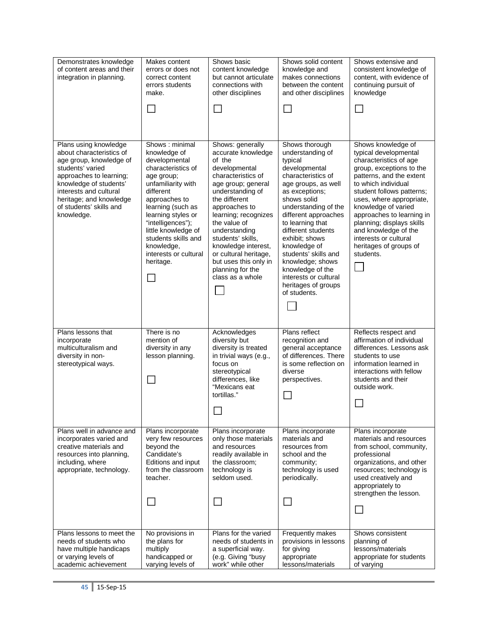| Demonstrates knowledge<br>of content areas and their<br>integration in planning.                                                                                                                                                                    | Makes content<br>errors or does not<br>correct content<br>errors students<br>make.                                                                                                                                                                                                                        | Shows basic<br>content knowledge<br>but cannot articulate<br>connections with<br>other disciplines<br>$\sim$                                                                                                                                                                                                                                                       | Shows solid content<br>knowledge and<br>makes connections<br>between the content<br>and other disciplines<br>$\Box$                                                                                                                                                                                                                                                                                      | Shows extensive and<br>consistent knowledge of<br>content, with evidence of<br>continuing pursuit of<br>knowledge<br>$\Box$                                                                                                                                                                                                                                                            |
|-----------------------------------------------------------------------------------------------------------------------------------------------------------------------------------------------------------------------------------------------------|-----------------------------------------------------------------------------------------------------------------------------------------------------------------------------------------------------------------------------------------------------------------------------------------------------------|--------------------------------------------------------------------------------------------------------------------------------------------------------------------------------------------------------------------------------------------------------------------------------------------------------------------------------------------------------------------|----------------------------------------------------------------------------------------------------------------------------------------------------------------------------------------------------------------------------------------------------------------------------------------------------------------------------------------------------------------------------------------------------------|----------------------------------------------------------------------------------------------------------------------------------------------------------------------------------------------------------------------------------------------------------------------------------------------------------------------------------------------------------------------------------------|
| Plans using knowledge<br>about characteristics of<br>age group, knowledge of<br>students' varied<br>approaches to learning;<br>knowledge of students'<br>interests and cultural<br>heritage; and knowledge<br>of students' skills and<br>knowledge. | Shows: minimal<br>knowledge of<br>developmental<br>characteristics of<br>age group;<br>unfamiliarity with<br>different<br>approaches to<br>learning (such as<br>learning styles or<br>"intelligences");<br>little knowledge of<br>students skills and<br>knowledge,<br>interests or cultural<br>heritage. | Shows: generally<br>accurate knowledge<br>of the<br>developmental<br>characteristics of<br>age group; general<br>understanding of<br>the different<br>approaches to<br>learning; recognizes<br>the value of<br>understanding<br>students' skills,<br>knowledge interest,<br>or cultural heritage,<br>but uses this only in<br>planning for the<br>class as a whole | Shows thorough<br>understanding of<br>typical<br>developmental<br>characteristics of<br>age groups, as well<br>as exceptions;<br>shows solid<br>understanding of the<br>different approaches<br>to learning that<br>different students<br>exhibit; shows<br>knowledge of<br>students' skills and<br>knowledge; shows<br>knowledge of the<br>interests or cultural<br>heritages of groups<br>of students. | Shows knowledge of<br>typical developmental<br>characteristics of age<br>group, exceptions to the<br>patterns, and the extent<br>to which individual<br>student follows patterns;<br>uses, where appropriate,<br>knowledge of varied<br>approaches to learning in<br>planning; displays skills<br>and knowledge of the<br>interests or cultural<br>heritages of groups of<br>students. |
| Plans lessons that<br>incorporate<br>multiculturalism and<br>diversity in non-<br>stereotypical ways.                                                                                                                                               | There is no<br>mention of<br>diversity in any<br>lesson planning.                                                                                                                                                                                                                                         | Acknowledges<br>diversity but<br>diversity is treated<br>in trivial ways (e.g.,<br>focus on<br>stereotypical<br>differences, like<br>"Mexicans eat<br>tortillas."<br>┙                                                                                                                                                                                             | Plans reflect<br>recognition and<br>general acceptance<br>of differences. There<br>is some reflection on<br>diverse<br>perspectives.<br>$\Box$                                                                                                                                                                                                                                                           | Reflects respect and<br>affirmation of individual<br>differences. Lessons ask<br>students to use<br>information learned in<br>interactions with fellow<br>students and their<br>outside work.<br>$\mathcal{L}_{\mathcal{A}}$                                                                                                                                                           |
| Plans well in advance and<br>incorporates varied and<br>creative materials and<br>resources into planning,<br>including, where<br>appropriate, technology.                                                                                          | Plans incorporate<br>very few resources<br>beyond the<br>Candidate's<br>Editions and input<br>from the classroom<br>teacher.                                                                                                                                                                              | Plans incorporate<br>only those materials<br>and resources<br>readily available in<br>the classroom;<br>technology is<br>seldom used.<br>$\mathbb{R}^n$                                                                                                                                                                                                            | Plans incorporate<br>materials and<br>resources from<br>school and the<br>community;<br>technology is used<br>periodically.<br>$\sim$                                                                                                                                                                                                                                                                    | Plans incorporate<br>materials and resources<br>from school, community,<br>professional<br>organizations, and other<br>resources; technology is<br>used creatively and<br>appropriately to<br>strengthen the lesson.<br>$\Box$                                                                                                                                                         |
| Plans lessons to meet the<br>needs of students who<br>have multiple handicaps<br>or varying levels of<br>academic achievement                                                                                                                       | No provisions in<br>the plans for<br>multiply<br>handicapped or<br>varying levels of                                                                                                                                                                                                                      | Plans for the varied<br>needs of students in<br>a superficial way.<br>(e.g. Giving "busy<br>work" while other                                                                                                                                                                                                                                                      | Frequently makes<br>provisions in lessons<br>for giving<br>appropriate<br>lessons/materials                                                                                                                                                                                                                                                                                                              | Shows consistent<br>planning of<br>lessons/materials<br>appropriate for students<br>of varying                                                                                                                                                                                                                                                                                         |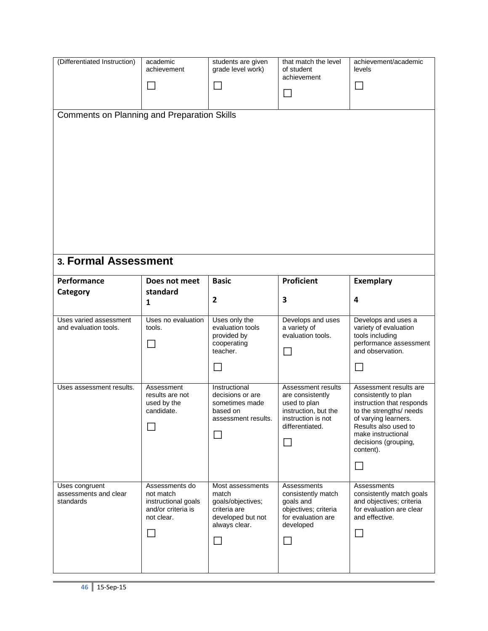| (Differentiated Instruction)                         | academic<br>achievement                                                                          | students are given<br>grade level work)                                                                        | that match the level<br>of student<br>achievement<br>$\Box$                                                                             | achievement/academic<br>levels<br>$\Box$                                                                                                                                                                                    |
|------------------------------------------------------|--------------------------------------------------------------------------------------------------|----------------------------------------------------------------------------------------------------------------|-----------------------------------------------------------------------------------------------------------------------------------------|-----------------------------------------------------------------------------------------------------------------------------------------------------------------------------------------------------------------------------|
| <b>Comments on Planning and Preparation Skills</b>   |                                                                                                  |                                                                                                                |                                                                                                                                         |                                                                                                                                                                                                                             |
| 3. Formal Assessment                                 |                                                                                                  |                                                                                                                |                                                                                                                                         |                                                                                                                                                                                                                             |
| Performance                                          | Does not meet<br>standard                                                                        | <b>Basic</b>                                                                                                   | <b>Proficient</b>                                                                                                                       | <b>Exemplary</b>                                                                                                                                                                                                            |
| Category                                             | 1                                                                                                | $\overline{2}$                                                                                                 | 3                                                                                                                                       | 4                                                                                                                                                                                                                           |
| Uses varied assessment<br>and evaluation tools.      | Uses no evaluation<br>tools.                                                                     | Uses only the<br>evaluation tools<br>provided by<br>cooperating<br>teacher.                                    | Develops and uses<br>a variety of<br>evaluation tools.<br>$\mathsf{L}$                                                                  | Develops and uses a<br>variety of evaluation<br>tools including<br>performance assessment<br>and observation.<br>$\overline{\phantom{0}}$                                                                                   |
| Uses assessment results.                             | Assessment<br>results are not<br>used by the<br>candidate.                                       | Instructional<br>decisions or are<br>sometimes made<br>based on<br>assessment results.                         | Assessment results<br>are consistently<br>used to plan<br>instruction, but the<br>instruction is not<br>differentiated.<br>$\mathsf{L}$ | Assessment results are<br>consistently to plan<br>instruction that responds<br>to the strengths/ needs<br>of varying learners.<br>Results also used to<br>make instructional<br>decisions (grouping,<br>content).<br>$\Box$ |
| Uses congruent<br>assessments and clear<br>standards | Assessments do<br>not match<br>instructional goals<br>and/or criteria is<br>not clear.<br>$\Box$ | Most assessments<br>match<br>goals/objectives;<br>criteria are<br>developed but not<br>always clear.<br>$\sim$ | Assessments<br>consistently match<br>goals and<br>objectives; criteria<br>for evaluation are<br>developed<br>$\mathsf{L}$               | Assessments<br>consistently match goals<br>and objectives; criteria<br>for evaluation are clear<br>and effective.<br>$\Box$                                                                                                 |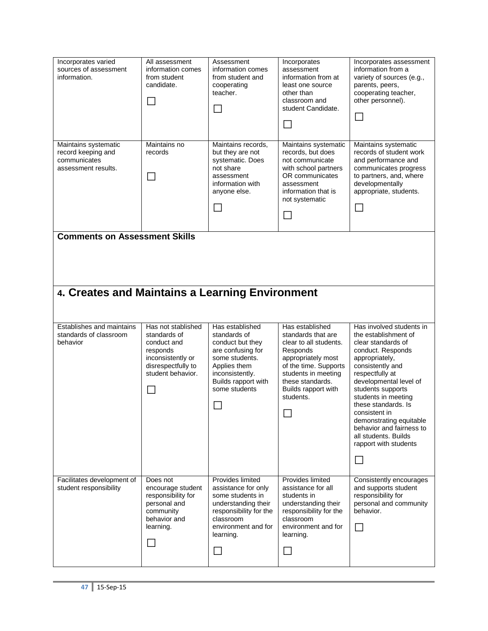| Incorporates varied<br>sources of assessment<br>information.                            | All assessment<br>information comes<br>from student<br>candidate.                                                             | Assessment<br>information comes<br>from student and<br>cooperating<br>teacher.<br>$\overline{\phantom{a}}$                                                            | Incorporates<br>assessment<br>information from at<br>least one source<br>other than<br>classroom and<br>student Candidate.<br>$\mathsf{L}$                                                                     | Incorporates assessment<br>information from a<br>variety of sources (e.g.,<br>parents, peers,<br>cooperating teacher,<br>other personnel).<br>$\Box$                                                                                                                                                                                                                                         |
|-----------------------------------------------------------------------------------------|-------------------------------------------------------------------------------------------------------------------------------|-----------------------------------------------------------------------------------------------------------------------------------------------------------------------|----------------------------------------------------------------------------------------------------------------------------------------------------------------------------------------------------------------|----------------------------------------------------------------------------------------------------------------------------------------------------------------------------------------------------------------------------------------------------------------------------------------------------------------------------------------------------------------------------------------------|
| Maintains systematic<br>record keeping and<br>communicates<br>assessment results.       | Maintains no<br>records                                                                                                       | Maintains records,<br>but they are not<br>systematic. Does<br>not share<br>assessment<br>information with<br>anyone else.<br>$\sim$                                   | Maintains systematic<br>records, but does<br>not communicate<br>with school partners<br>OR communicates<br>assessment<br>information that is<br>not systematic<br>$\mathbf{I}$                                 | Maintains systematic<br>records of student work<br>and performance and<br>communicates progress<br>to partners, and, where<br>developmentally<br>appropriate, students.<br>$\Box$                                                                                                                                                                                                            |
| <b>Comments on Assessment Skills</b><br>4. Creates and Maintains a Learning Environment |                                                                                                                               |                                                                                                                                                                       |                                                                                                                                                                                                                |                                                                                                                                                                                                                                                                                                                                                                                              |
|                                                                                         |                                                                                                                               |                                                                                                                                                                       |                                                                                                                                                                                                                |                                                                                                                                                                                                                                                                                                                                                                                              |
| Establishes and maintains<br>standards of classroom<br>behavior                         | Has not stablished<br>standards of<br>conduct and<br>responds<br>inconsistently or<br>disrespectfully to<br>student behavior. | Has established<br>standards of<br>conduct but they<br>are confusing for<br>some students.<br>Applies them<br>inconsistently.<br>Builds rapport with<br>some students | Has established<br>standards that are<br>clear to all students.<br>Responds<br>appropriately most<br>of the time. Supports<br>students in meeting<br>these standards.<br>Builds rapport with<br>students.<br>П | Has involved students in<br>the establishment of<br>clear standards of<br>conduct. Responds<br>appropriately,<br>consistently and<br>respectfully at<br>developmental level of<br>students supports<br>students in meeting<br>these standards. Is<br>consistent in<br>demonstrating equitable<br>behavior and fairness to<br>all students. Builds<br>rapport with students<br>$\mathbb{R}^n$ |
| Facilitates development of<br>student responsibility                                    | Does not<br>encourage student<br>responsibility for<br>personal and<br>community<br>behavior and<br>learning.                 | Provides limited<br>assistance for only<br>some students in<br>understanding their<br>responsibility for the<br>classroom<br>environment and for<br>learning.         | Provides limited<br>assistance for all<br>students in<br>understanding their<br>responsibility for the<br>classroom<br>environment and for<br>learning.<br>T,                                                  | Consistently encourages<br>and supports student<br>responsibility for<br>personal and community<br>behavior.<br>$\mathbf{L}$                                                                                                                                                                                                                                                                 |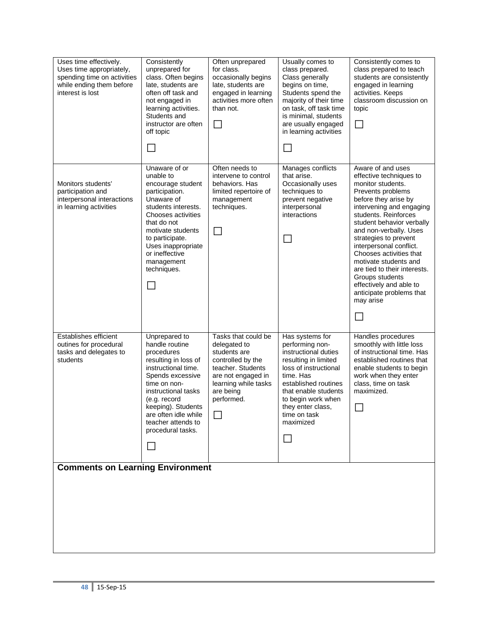| Uses time effectively.<br>Uses time appropriately,<br>spending time on activities<br>while ending them before<br>interest is lost | Consistently<br>unprepared for<br>class. Often begins<br>late, students are<br>often off task and<br>not engaged in<br>learning activities.<br>Students and<br>instructor are often<br>off topic<br>$\sim$                                                         | Often unprepared<br>for class.<br>occasionally begins<br>late, students are<br>engaged in learning<br>activities more often<br>than not.<br>L                          | Usually comes to<br>class prepared.<br>Class generally<br>begins on time,<br>Students spend the<br>majority of their time<br>on task, off task time<br>is minimal, students<br>are usually engaged<br>in learning activities                               | Consistently comes to<br>class prepared to teach<br>students are consistently<br>engaged in learning<br>activities. Keeps<br>classroom discussion on<br>topic                                                                                                                                                                                                                                                                                            |
|-----------------------------------------------------------------------------------------------------------------------------------|--------------------------------------------------------------------------------------------------------------------------------------------------------------------------------------------------------------------------------------------------------------------|------------------------------------------------------------------------------------------------------------------------------------------------------------------------|------------------------------------------------------------------------------------------------------------------------------------------------------------------------------------------------------------------------------------------------------------|----------------------------------------------------------------------------------------------------------------------------------------------------------------------------------------------------------------------------------------------------------------------------------------------------------------------------------------------------------------------------------------------------------------------------------------------------------|
| Monitors students'<br>participation and<br>interpersonal interactions<br>in learning activities                                   | Unaware of or<br>unable to<br>encourage student<br>participation.<br>Unaware of<br>students interests.<br>Chooses activities<br>that do not<br>motivate students<br>to participate.<br>Uses inappropriate<br>or ineffective<br>management<br>techniques.<br>$\sim$ | Often needs to<br>intervene to control<br>behaviors. Has<br>limited repertoire of<br>management<br>techniques.<br>$\mathsf{L}$                                         | Manages conflicts<br>that arise.<br>Occasionally uses<br>techniques to<br>prevent negative<br>interpersonal<br>interactions                                                                                                                                | Aware of and uses<br>effective techniques to<br>monitor students.<br>Prevents problems<br>before they arise by<br>intervening and engaging<br>students. Reinforces<br>student behavior verbally<br>and non-verbally. Uses<br>strategies to prevent<br>interpersonal conflict.<br>Chooses activities that<br>motivate students and<br>are tied to their interests.<br>Groups students<br>effectively and able to<br>anticipate problems that<br>may arise |
| Establishes efficient<br>outines for procedural<br>tasks and delegates to<br>students                                             | Unprepared to<br>handle routine<br>procedures<br>resulting in loss of<br>instructional time.<br>Spends excessive<br>time on non-<br>instructional tasks<br>(e.g. record<br>keeping). Students<br>are often idle while<br>teacher attends to<br>procedural tasks.   | Tasks that could be<br>delegated to<br>students are<br>controlled by the<br>teacher. Students<br>are not engaged in<br>learning while tasks<br>are being<br>performed. | Has systems for<br>performing non-<br>instructional duties<br>resulting in limited<br>loss of instructional<br>time. Has<br>established routines<br>that enable students<br>to begin work when<br>they enter class,<br>time on task<br>maximized<br>$\Box$ | Handles procedures<br>smoothly with little loss<br>of instructional time. Has<br>established routines that<br>enable students to begin<br>work when they enter<br>class, time on task<br>maximized.                                                                                                                                                                                                                                                      |
| <b>Comments on Learning Environment</b>                                                                                           |                                                                                                                                                                                                                                                                    |                                                                                                                                                                        |                                                                                                                                                                                                                                                            |                                                                                                                                                                                                                                                                                                                                                                                                                                                          |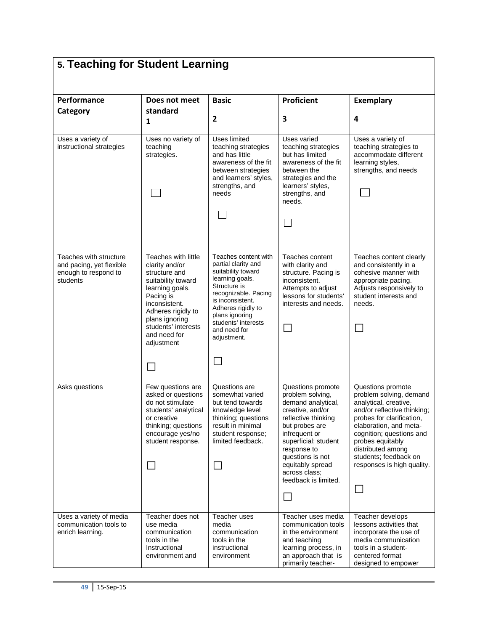| 5. Teaching for Student Learning                                                       |                                                                                                                                                                                                                            |                                                                                                                                                                                                                                                |                                                                                                                                                                                                                                                                                     |                                                                                                                                                                                                                                                                                         |
|----------------------------------------------------------------------------------------|----------------------------------------------------------------------------------------------------------------------------------------------------------------------------------------------------------------------------|------------------------------------------------------------------------------------------------------------------------------------------------------------------------------------------------------------------------------------------------|-------------------------------------------------------------------------------------------------------------------------------------------------------------------------------------------------------------------------------------------------------------------------------------|-----------------------------------------------------------------------------------------------------------------------------------------------------------------------------------------------------------------------------------------------------------------------------------------|
| Performance<br>Category                                                                | Does not meet<br>standard                                                                                                                                                                                                  | <b>Basic</b><br>$\overline{2}$                                                                                                                                                                                                                 | <b>Proficient</b><br>3                                                                                                                                                                                                                                                              | <b>Exemplary</b><br>4                                                                                                                                                                                                                                                                   |
| Uses a variety of<br>instructional strategies                                          | 1<br>Uses no variety of<br>teaching<br>strategies.                                                                                                                                                                         | Uses limited<br>teaching strategies<br>and has little<br>awareness of the fit<br>between strategies<br>and learners' styles,<br>strengths, and<br>needs                                                                                        | Uses varied<br>teaching strategies<br>but has limited<br>awareness of the fit<br>between the<br>strategies and the<br>learners' styles,<br>strengths, and<br>needs.                                                                                                                 | Uses a variety of<br>teaching strategies to<br>accommodate different<br>learning styles,<br>strengths, and needs                                                                                                                                                                        |
|                                                                                        |                                                                                                                                                                                                                            |                                                                                                                                                                                                                                                | $\overline{\phantom{0}}$                                                                                                                                                                                                                                                            |                                                                                                                                                                                                                                                                                         |
| Teaches with structure<br>and pacing, yet flexible<br>enough to respond to<br>students | Teaches with little<br>clarity and/or<br>structure and<br>suitability toward<br>learning goals.<br>Pacing is<br>inconsistent.<br>Adheres rigidly to<br>plans ignoring<br>students' interests<br>and need for<br>adjustment | Teaches content with<br>partial clarity and<br>suitability toward<br>learning goals.<br>Structure is<br>recognizable. Pacing<br>is inconsistent.<br>Adheres rigidly to<br>plans ignoring<br>students' interests<br>and need for<br>adjustment. | Teaches content<br>with clarity and<br>structure. Pacing is<br>inconsistent.<br>Attempts to adjust<br>lessons for students'<br>interests and needs.<br>$\Box$                                                                                                                       | Teaches content clearly<br>and consistently in a<br>cohesive manner with<br>appropriate pacing.<br>Adjusts responsively to<br>student interests and<br>needs.<br>$\mathcal{L}$                                                                                                          |
|                                                                                        |                                                                                                                                                                                                                            |                                                                                                                                                                                                                                                |                                                                                                                                                                                                                                                                                     |                                                                                                                                                                                                                                                                                         |
| Asks questions                                                                         | Few questions are<br>asked or questions<br>do not stimulate<br>students' analytical<br>or creative<br>thinking; questions<br>encourage yes/no<br>student response.                                                         | Questions are<br>somewhat varied<br>but tend towards<br>knowledge level<br>thinking; questions<br>result in minimal<br>student response;<br>limited feedback.<br>$\mathbb{R}^n$                                                                | Questions promote<br>problem solving,<br>demand analytical,<br>creative, and/or<br>reflective thinking<br>but probes are<br>infrequent or<br>superficial; student<br>response to<br>questions is not<br>equitably spread<br>across class;<br>feedback is limited.<br>$\mathbb{R}^n$ | Questions promote<br>problem solving, demand<br>analytical, creative,<br>and/or reflective thinking;<br>probes for clarification,<br>elaboration, and meta-<br>cognition; questions and<br>probes equitably<br>distributed among<br>students; feedback on<br>responses is high quality. |
| Uses a variety of media<br>communication tools to<br>enrich learning.                  | Teacher does not<br>use media<br>communication<br>tools in the<br>Instructional<br>environment and                                                                                                                         | Teacher uses<br>media<br>communication<br>tools in the<br>instructional<br>environment                                                                                                                                                         | Teacher uses media<br>communication tools<br>in the environment<br>and teaching<br>learning process, in<br>an approach that is<br>primarily teacher-                                                                                                                                | Teacher develops<br>lessons activities that<br>incorporate the use of<br>media communication<br>tools in a student-<br>centered format<br>designed to empower                                                                                                                           |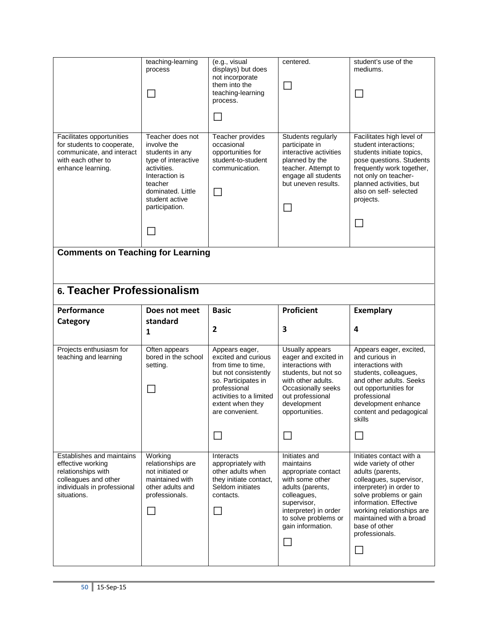|                                                                                                                                 | teaching-learning<br>process<br>$\sim$                                                                                                                                         | (e.g., visual<br>displays) but does<br>not incorporate<br>them into the<br>teaching-learning<br>process.                                                                                     | centered.<br>$\mathbf{L}$                                                                                                                                                             | student's use of the<br>mediums.                                                                                                                                                                                                   |
|---------------------------------------------------------------------------------------------------------------------------------|--------------------------------------------------------------------------------------------------------------------------------------------------------------------------------|----------------------------------------------------------------------------------------------------------------------------------------------------------------------------------------------|---------------------------------------------------------------------------------------------------------------------------------------------------------------------------------------|------------------------------------------------------------------------------------------------------------------------------------------------------------------------------------------------------------------------------------|
| Facilitates opportunities<br>for students to cooperate,<br>communicate, and interact<br>with each other to<br>enhance learning. | Teacher does not<br>involve the<br>students in any<br>type of interactive<br>activities.<br>Interaction is<br>teacher<br>dominated. Little<br>student active<br>participation. | Teacher provides<br>occasional<br>opportunities for<br>student-to-student<br>communication.                                                                                                  | Students regularly<br>participate in<br>interactive activities<br>planned by the<br>teacher. Attempt to<br>engage all students<br>but uneven results.                                 | Facilitates high level of<br>student interactions:<br>students initiate topics,<br>pose questions. Students<br>frequently work together,<br>not only on teacher-<br>planned activities, but<br>also on self- selected<br>projects. |
| <b>Comments on Teaching for Learning</b>                                                                                        |                                                                                                                                                                                |                                                                                                                                                                                              |                                                                                                                                                                                       |                                                                                                                                                                                                                                    |
| 6. Teacher Professionalism                                                                                                      |                                                                                                                                                                                |                                                                                                                                                                                              |                                                                                                                                                                                       |                                                                                                                                                                                                                                    |
| Performance                                                                                                                     | Does not meet                                                                                                                                                                  | <b>Basic</b>                                                                                                                                                                                 | <b>Proficient</b>                                                                                                                                                                     | <b>Exemplary</b>                                                                                                                                                                                                                   |
|                                                                                                                                 |                                                                                                                                                                                |                                                                                                                                                                                              |                                                                                                                                                                                       |                                                                                                                                                                                                                                    |
| Category                                                                                                                        | standard<br>$\mathbf{1}$                                                                                                                                                       | $\overline{2}$                                                                                                                                                                               | 3                                                                                                                                                                                     | 4                                                                                                                                                                                                                                  |
| Projects enthusiasm for<br>teaching and learning                                                                                | Often appears<br>bored in the school<br>setting.                                                                                                                               | Appears eager,<br>excited and curious<br>from time to time.<br>but not consistently<br>so. Participates in<br>professional<br>activities to a limited<br>extent when they<br>are convenient. | Usually appears<br>eager and excited in<br>interactions with<br>students, but not so<br>with other adults.<br>Occasionally seeks<br>out professional<br>development<br>opportunities. | Appears eager, excited,<br>and curious in<br>interactions with<br>students, colleagues,<br>and other adults. Seeks<br>out opportunities for<br>professional<br>development enhance<br>content and pedagogical<br>skills            |
| Establishes and maintains                                                                                                       | Working                                                                                                                                                                        | Interacts                                                                                                                                                                                    | Initiates and                                                                                                                                                                         | Initiates contact with a                                                                                                                                                                                                           |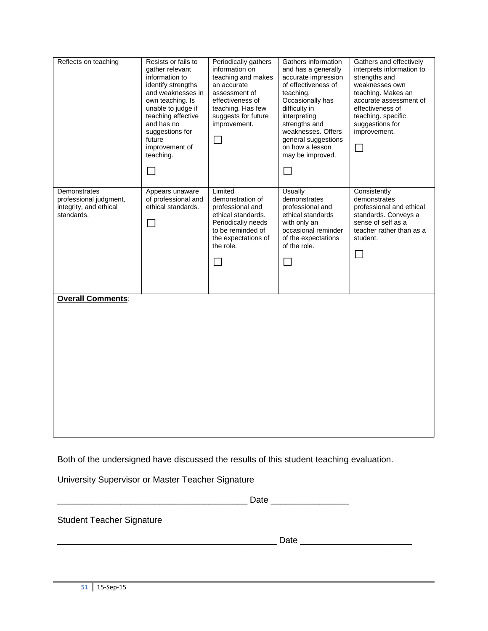| Reflects on teaching                                                           | Resists or fails to<br>gather relevant<br>information to<br>identify strengths<br>and weaknesses in<br>own teaching. Is<br>unable to judge if<br>teaching effective<br>and has no<br>suggestions for<br>future<br>improvement of<br>teaching.<br>$\blacksquare$ | Periodically gathers<br>information on<br>teaching and makes<br>an accurate<br>assessment of<br>effectiveness of<br>teaching. Has few<br>suggests for future<br>improvement.<br>$\Box$ | Gathers information<br>and has a generally<br>accurate impression<br>of effectiveness of<br>teaching.<br>Occasionally has<br>difficulty in<br>interpreting<br>strengths and<br>weaknesses. Offers<br>general suggestions<br>on how a lesson<br>may be improved.<br>$\Box$ | Gathers and effectively<br>interprets information to<br>strengths and<br>weaknesses own<br>teaching. Makes an<br>accurate assessment of<br>effectiveness of<br>teaching. specific<br>suggestions for<br>improvement.<br>$\Box$ |
|--------------------------------------------------------------------------------|-----------------------------------------------------------------------------------------------------------------------------------------------------------------------------------------------------------------------------------------------------------------|----------------------------------------------------------------------------------------------------------------------------------------------------------------------------------------|---------------------------------------------------------------------------------------------------------------------------------------------------------------------------------------------------------------------------------------------------------------------------|--------------------------------------------------------------------------------------------------------------------------------------------------------------------------------------------------------------------------------|
| Demonstrates<br>professional judgment,<br>integrity, and ethical<br>standards. | Appears unaware<br>of professional and<br>ethical standards.<br>$\Box$                                                                                                                                                                                          | Limited<br>demonstration of<br>professional and<br>ethical standards.<br>Periodically needs<br>to be reminded of<br>the expectations of<br>the role.<br>$\Box$                         | Usually<br>demonstrates<br>professional and<br>ethical standards<br>with only an<br>occasional reminder<br>of the expectations<br>of the role.<br>$\Box$                                                                                                                  | Consistently<br>demonstrates<br>professional and ethical<br>standards. Conveys a<br>sense of self as a<br>teacher rather than as a<br>student.<br>$\Box$                                                                       |
| <b>Overall Comments:</b>                                                       |                                                                                                                                                                                                                                                                 |                                                                                                                                                                                        |                                                                                                                                                                                                                                                                           |                                                                                                                                                                                                                                |

Both of the undersigned have discussed the results of this student teaching evaluation.

University Supervisor or Master Teacher Signature

| ---<br>$\sim$<br>____ |  |
|-----------------------|--|
|                       |  |

Student Teacher Signature

| - - 1 -<br><br>эт.<br>---<br>- |
|--------------------------------|
|                                |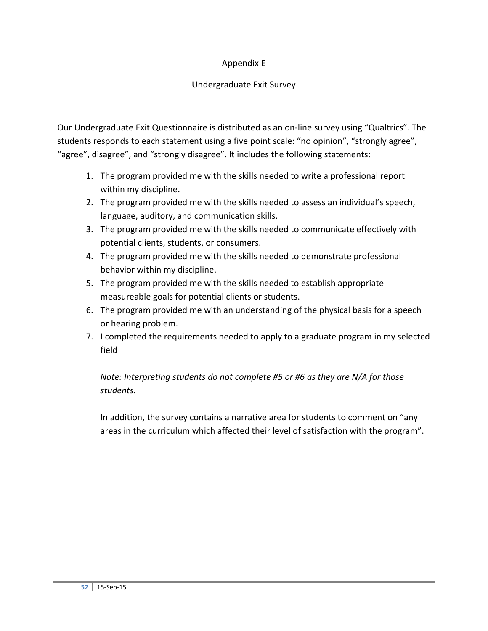# Appendix E

# Undergraduate Exit Survey

Our Undergraduate Exit Questionnaire is distributed as an on-line survey using "Qualtrics". The students responds to each statement using a five point scale: "no opinion", "strongly agree", "agree", disagree", and "strongly disagree". It includes the following statements:

- 1. The program provided me with the skills needed to write a professional report within my discipline.
- 2. The program provided me with the skills needed to assess an individual's speech, language, auditory, and communication skills.
- 3. The program provided me with the skills needed to communicate effectively with potential clients, students, or consumers.
- 4. The program provided me with the skills needed to demonstrate professional behavior within my discipline.
- 5. The program provided me with the skills needed to establish appropriate measureable goals for potential clients or students.
- 6. The program provided me with an understanding of the physical basis for a speech or hearing problem.
- 7. I completed the requirements needed to apply to a graduate program in my selected field

*Note: Interpreting students do not complete #5 or #6 as they are N/A for those students.*

In addition, the survey contains a narrative area for students to comment on "any areas in the curriculum which affected their level of satisfaction with the program".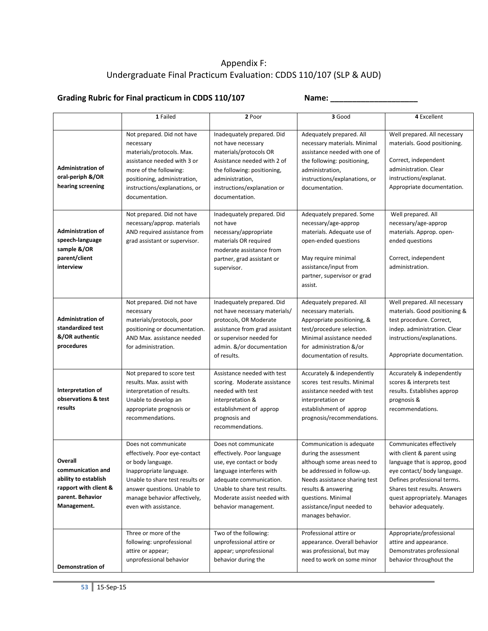# Appendix F: Undergraduate Final Practicum Evaluation: CDDS 110/107 (SLP & AUD)

# Grading Rubric for Final practicum in CDDS 110/107 Name: Name:

|                                                                                                                  | 1 Failed                                                                                                                                                                                                                         | 2 Poor                                                                                                                                                                                                                        | 3 Good                                                                                                                                                                                                                                           | 4 Excellent                                                                                                                                                                                                                                   |
|------------------------------------------------------------------------------------------------------------------|----------------------------------------------------------------------------------------------------------------------------------------------------------------------------------------------------------------------------------|-------------------------------------------------------------------------------------------------------------------------------------------------------------------------------------------------------------------------------|--------------------------------------------------------------------------------------------------------------------------------------------------------------------------------------------------------------------------------------------------|-----------------------------------------------------------------------------------------------------------------------------------------------------------------------------------------------------------------------------------------------|
| <b>Administration of</b><br>oral-periph &/OR<br>hearing screening                                                | Not prepared. Did not have<br>necessary<br>materials/protocols. Max.<br>assistance needed with 3 or<br>more of the following:<br>positioning, administration,<br>instructions/explanations, or<br>documentation.                 | Inadequately prepared. Did<br>not have necessary<br>materials/protocols OR<br>Assistance needed with 2 of<br>the following: positioning,<br>administration,<br>instructions/explanation or<br>documentation.                  | Adequately prepared. All<br>necessary materials. Minimal<br>assistance needed with one of<br>the following: positioning,<br>administration,<br>instructions/explanations, or<br>documentation.                                                   | Well prepared. All necessary<br>materials. Good positioning.<br>Correct, independent<br>administration. Clear<br>instructions/explanat.<br>Appropriate documentation.                                                                         |
| <b>Administration of</b><br>speech-language<br>sample &/OR<br>parent/client<br>interview                         | Not prepared. Did not have<br>necessary/approp. materials<br>AND required assistance from<br>grad assistant or supervisor.                                                                                                       | Inadequately prepared. Did<br>not have<br>necessary/appropriate<br>materials OR required<br>moderate assistance from<br>partner, grad assistant or<br>supervisor.                                                             | Adequately prepared. Some<br>necessary/age-approp<br>materials. Adequate use of<br>open-ended questions<br>May require minimal<br>assistance/input from<br>partner, supervisor or grad<br>assist.                                                | Well prepared. All<br>necessary/age-approp<br>materials. Approp. open-<br>ended questions<br>Correct, independent<br>administration.                                                                                                          |
| <b>Administration of</b><br>standardized test<br>&/OR authentic<br>procedures                                    | Not prepared. Did not have<br>necessary<br>materials/protocols, poor<br>positioning or documentation.<br>AND Max. assistance needed<br>for administration.                                                                       | Inadequately prepared. Did<br>not have necessary materials/<br>protocols, OR Moderate<br>assistance from grad assistant<br>or supervisor needed for<br>admin. &/or documentation<br>of results.                               | Adequately prepared. All<br>necessary materials.<br>Appropriate positioning, &<br>test/procedure selection.<br>Minimal assistance needed<br>for administration &/or<br>documentation of results.                                                 | Well prepared. All necessary<br>materials. Good positioning &<br>test procedure. Correct,<br>indep. administration. Clear<br>instructions/explanations.<br>Appropriate documentation.                                                         |
| Interpretation of<br>observations & test<br>results                                                              | Not prepared to score test<br>results. Max. assist with<br>interpretation of results.<br>Unable to develop an<br>appropriate prognosis or<br>recommendations.                                                                    | Assistance needed with test<br>scoring. Moderate assistance<br>needed with test<br>interpretation &<br>establishment of approp<br>prognosis and<br>recommendations.                                                           | Accurately & independently<br>scores test results. Minimal<br>assistance needed with test<br>interpretation or<br>establishment of approp<br>prognosis/recommendations.                                                                          | Accurately & independently<br>scores & interprets test<br>results. Establishes approp<br>prognosis &<br>recommendations.                                                                                                                      |
| Overall<br>communication and<br>ability to establish<br>rapport with client &<br>parent. Behavior<br>Management. | Does not communicate<br>effectively. Poor eye-contact<br>or body language.<br>Inappropriate language.<br>Unable to share test results or<br>answer questions. Unable to<br>manage behavior affectively,<br>even with assistance. | Does not communicate<br>effectively. Poor language<br>use, eye contact or body<br>language interferes with<br>adequate communication.<br>Unable to share test results.<br>Moderate assist needed with<br>behavior management. | Communication is adequate<br>during the assessment<br>although some areas need to<br>be addressed in follow-up.<br>Needs assistance sharing test<br>results & answering<br>questions. Minimal<br>assistance/input needed to<br>manages behavior. | Communicates effectively<br>with client & parent using<br>language that is approp, good<br>eye contact/ body language.<br>Defines professional terms.<br>Shares test results. Answers<br>quest appropriately. Manages<br>behavior adequately. |
| <b>Demonstration of</b>                                                                                          | Three or more of the<br>following: unprofessional<br>attire or appear;<br>unprofessional behavior                                                                                                                                | Two of the following:<br>unprofessional attire or<br>appear; unprofessional<br>behavior during the                                                                                                                            | Professional attire or<br>appearance. Overall behavior<br>was professional, but may<br>need to work on some minor                                                                                                                                | Appropriate/professional<br>attire and appearance.<br>Demonstrates professional<br>behavior throughout the                                                                                                                                    |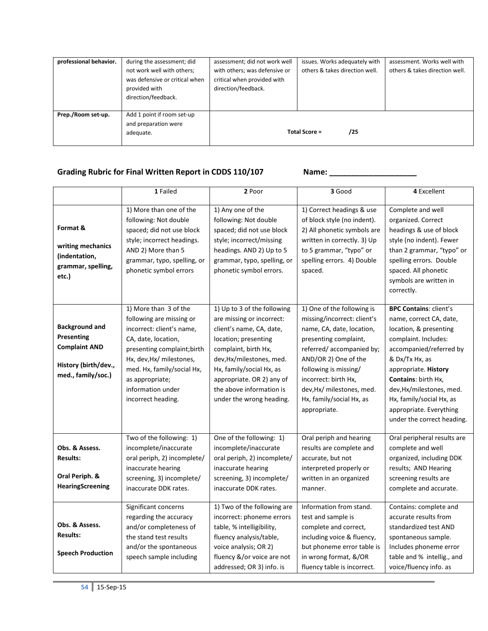| professional behavior. | during the assessment; did                                      | assessment; did not work well                                | issues. Works adequately with  | assessment. Works well with    |
|------------------------|-----------------------------------------------------------------|--------------------------------------------------------------|--------------------------------|--------------------------------|
|                        | not work well with others;<br>was defensive or critical when    | with others; was defensive or<br>critical when provided with | others & takes direction well. | others & takes direction well. |
|                        | provided with                                                   | direction/feedback.                                          |                                |                                |
|                        | direction/feedback.                                             |                                                              |                                |                                |
| Prep./Room set-up.     | Add 1 point if room set-up<br>and preparation were<br>adequate. |                                                              | Total Score =<br>/25           |                                |

# Grading Rubric for Final Written Report in CDDS 110/107 Name: \_\_\_\_\_\_\_\_\_\_\_\_\_\_\_\_\_\_\_

|                                                                                                                  | 1 Failed                                                                                                                                                                                                                                                     | 2 Poor                                                                                                                                                                                                                                                                            | 3 Good                                                                                                                                                                                                                                                                                        | 4 Excellent                                                                                                                                                                                                                                                                                                                    |
|------------------------------------------------------------------------------------------------------------------|--------------------------------------------------------------------------------------------------------------------------------------------------------------------------------------------------------------------------------------------------------------|-----------------------------------------------------------------------------------------------------------------------------------------------------------------------------------------------------------------------------------------------------------------------------------|-----------------------------------------------------------------------------------------------------------------------------------------------------------------------------------------------------------------------------------------------------------------------------------------------|--------------------------------------------------------------------------------------------------------------------------------------------------------------------------------------------------------------------------------------------------------------------------------------------------------------------------------|
| Format &<br>writing mechanics<br>(indentation,<br>grammar, spelling,<br>etc.)                                    | 1) More than one of the<br>following: Not double<br>spaced; did not use block<br>style; incorrect headings.<br>AND 2) More than 5<br>grammar, typo, spelling, or<br>phonetic symbol errors                                                                   | 1) Any one of the<br>following: Not double<br>spaced; did not use block<br>style; incorrect/missing<br>headings. AND 2) Up to 5<br>grammar, typo, spelling, or<br>phonetic symbol errors.                                                                                         | 1) Correct headings & use<br>of block style (no indent).<br>2) All phonetic symbols are<br>written in correctly. 3) Up<br>to 5 grammar, "typo" or<br>spelling errors. 4) Double<br>spaced.                                                                                                    | Complete and well<br>organized. Correct<br>headings & use of block<br>style (no indent). Fewer<br>than 2 grammar, "typo" or<br>spelling errors. Double<br>spaced. All phonetic<br>symbols are written in<br>correctly.                                                                                                         |
| <b>Background and</b><br><b>Presenting</b><br><b>Complaint AND</b><br>History (birth/dev.,<br>med., family/soc.) | 1) More than 3 of the<br>following are missing or<br>incorrect: client's name,<br>CA, date, location,<br>presenting complaint; birth<br>Hx, dev, Hx/ milestones,<br>med. Hx, family/social Hx,<br>as appropriate;<br>information under<br>incorrect heading. | 1) Up to 3 of the following<br>are missing or incorrect:<br>client's name, CA, date,<br>location; presenting<br>complaint, birth Hx,<br>dev, Hx/milestones, med.<br>Hx, family/social Hx, as<br>appropriate. OR 2) any of<br>the above information is<br>under the wrong heading. | 1) One of the following is<br>missing/incorrect: client's<br>name, CA, date, location,<br>presenting complaint,<br>referred/accompanied by;<br>AND/OR 2) One of the<br>following is missing/<br>incorrect: birth Hx,<br>dev, Hx/ milestones, med.<br>Hx, family/social Hx, as<br>appropriate. | <b>BPC Contains: client's</b><br>name, correct CA, date,<br>location, & presenting<br>complaint. Includes:<br>accompanied/referred by<br>& Dx/Tx Hx, as<br>appropriate. History<br><b>Contains: birth Hx,</b><br>dev, Hx/milestones, med.<br>Hx, family/social Hx, as<br>appropriate. Everything<br>under the correct heading. |
| Obs. & Assess.<br><b>Results:</b><br>Oral Periph. &<br><b>HearingScreening</b>                                   | Two of the following: 1)<br>incomplete/inaccurate<br>oral periph, 2) incomplete/<br>inaccurate hearing<br>screening, 3) incomplete/<br>inaccurate DDK rates.                                                                                                 | One of the following: 1)<br>incomplete/inaccurate<br>oral periph, 2) incomplete/<br>inaccurate hearing<br>screening, 3) incomplete/<br>inaccurate DDK rates.                                                                                                                      | Oral periph and hearing<br>results are complete and<br>accurate, but not<br>interpreted properly or<br>written in an organized<br>manner.                                                                                                                                                     | Oral peripheral results are<br>complete and well<br>organized, including DDK<br>results; AND Hearing<br>screening results are<br>complete and accurate.                                                                                                                                                                        |
| Obs. & Assess.<br><b>Results:</b><br><b>Speech Production</b>                                                    | Significant concerns<br>regarding the accuracy<br>and/or completeness of<br>the stand test results<br>and/or the spontaneous<br>speech sample including                                                                                                      | 1) Two of the following are<br>incorrect: phoneme errors<br>table, % intelligibility,<br>fluency analysis/table,<br>voice analysis; OR 2)<br>fluency &/or voice are not<br>addressed; OR 3) info. is                                                                              | Information from stand.<br>test and sample is<br>complete and correct,<br>including voice & fluency,<br>but phoneme error table is<br>in wrong format, &/OR<br>fluency table is incorrect.                                                                                                    | Contains: complete and<br>accurate results from<br>standardized test AND<br>spontaneous sample.<br>Includes phoneme error<br>table and % intellig., and<br>voice/fluency info. as                                                                                                                                              |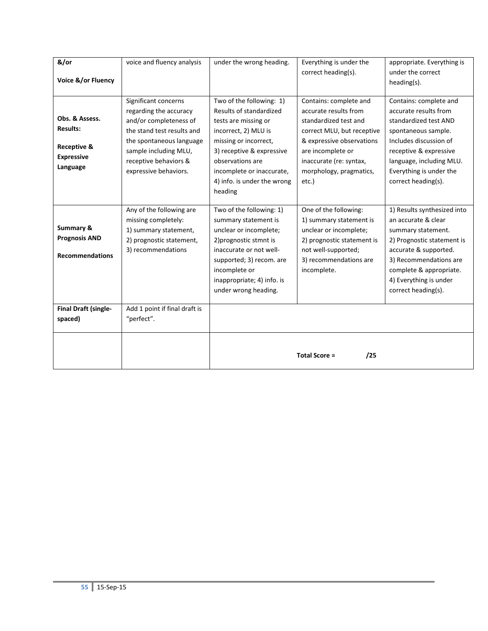| &/or<br>Voice &/or Fluency                                                                   | voice and fluency analysis                                                                                                                                                                                    | under the wrong heading.                                                                                                                                                                                                                             | Everything is under the<br>correct heading(s).                                                                                                                                                                          | appropriate. Everything is<br>under the correct<br>heading(s).                                                                                                                                                                        |
|----------------------------------------------------------------------------------------------|---------------------------------------------------------------------------------------------------------------------------------------------------------------------------------------------------------------|------------------------------------------------------------------------------------------------------------------------------------------------------------------------------------------------------------------------------------------------------|-------------------------------------------------------------------------------------------------------------------------------------------------------------------------------------------------------------------------|---------------------------------------------------------------------------------------------------------------------------------------------------------------------------------------------------------------------------------------|
| Obs. & Assess.<br><b>Results:</b><br><b>Receptive &amp;</b><br><b>Expressive</b><br>Language | Significant concerns<br>regarding the accuracy<br>and/or completeness of<br>the stand test results and<br>the spontaneous language<br>sample including MLU,<br>receptive behaviors &<br>expressive behaviors. | Two of the following: 1)<br>Results of standardized<br>tests are missing or<br>incorrect, 2) MLU is<br>missing or incorrect,<br>3) receptive & expressive<br>observations are<br>incomplete or inaccurate,<br>4) info. is under the wrong<br>heading | Contains: complete and<br>accurate results from<br>standardized test and<br>correct MLU, but receptive<br>& expressive observations<br>are incomplete or<br>inaccurate (re: syntax,<br>morphology, pragmatics,<br>etc.) | Contains: complete and<br>accurate results from<br>standardized test AND<br>spontaneous sample.<br>Includes discussion of<br>receptive & expressive<br>language, including MLU.<br>Everything is under the<br>correct heading(s).     |
| Summary &<br><b>Prognosis AND</b><br><b>Recommendations</b>                                  | Any of the following are<br>missing completely:<br>1) summary statement,<br>2) prognostic statement,<br>3) recommendations                                                                                    | Two of the following: 1)<br>summary statement is<br>unclear or incomplete;<br>2) prognostic stmnt is<br>inaccurate or not well-<br>supported; 3) recom. are<br>incomplete or<br>inappropriate; 4) info. is<br>under wrong heading.                   | One of the following:<br>1) summary statement is<br>unclear or incomplete;<br>2) prognostic statement is<br>not well-supported;<br>3) recommendations are<br>incomplete.                                                | 1) Results synthesized into<br>an accurate & clear<br>summary statement.<br>2) Prognostic statement is<br>accurate & supported.<br>3) Recommendations are<br>complete & appropriate.<br>4) Everything is under<br>correct heading(s). |
| Final Draft (single-<br>spaced)                                                              | Add 1 point if final draft is<br>"perfect".                                                                                                                                                                   |                                                                                                                                                                                                                                                      |                                                                                                                                                                                                                         |                                                                                                                                                                                                                                       |
|                                                                                              |                                                                                                                                                                                                               |                                                                                                                                                                                                                                                      | <b>Total Score =</b><br>/25                                                                                                                                                                                             |                                                                                                                                                                                                                                       |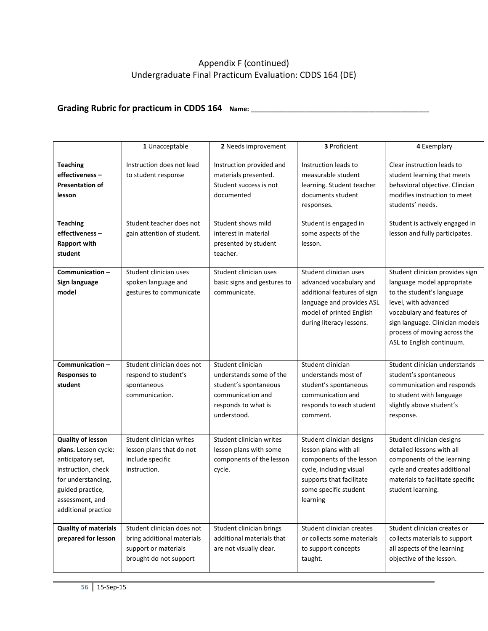# Appendix F (continued) Undergraduate Final Practicum Evaluation: CDDS 164 (DE)

# Grading Rubric for practicum in CDDS 164 Name: \_\_\_\_\_\_\_\_\_\_\_\_\_\_\_\_\_\_\_\_\_\_\_\_\_\_\_\_\_\_\_

|                                                                                                                                                                                 | 1 Unacceptable                                                                                             | 2 Needs improvement                                                                                                              | 3 Proficient                                                                                                                                                               | 4 Exemplary                                                                                                                                                                                                                                      |
|---------------------------------------------------------------------------------------------------------------------------------------------------------------------------------|------------------------------------------------------------------------------------------------------------|----------------------------------------------------------------------------------------------------------------------------------|----------------------------------------------------------------------------------------------------------------------------------------------------------------------------|--------------------------------------------------------------------------------------------------------------------------------------------------------------------------------------------------------------------------------------------------|
| <b>Teaching</b><br>effectiveness-<br><b>Presentation of</b><br>lesson                                                                                                           | Instruction does not lead<br>to student response                                                           | Instruction provided and<br>materials presented.<br>Student success is not<br>documented                                         | Instruction leads to<br>measurable student<br>learning. Student teacher<br>documents student<br>responses.                                                                 | Clear instruction leads to<br>student learning that meets<br>behavioral objective. Clincian<br>modifies instruction to meet<br>students' needs.                                                                                                  |
| <b>Teaching</b><br>effectiveness-<br><b>Rapport with</b><br>student                                                                                                             | Student teacher does not<br>gain attention of student.                                                     | Student shows mild<br>interest in material<br>presented by student<br>teacher.                                                   | Student is engaged in<br>some aspects of the<br>lesson.                                                                                                                    | Student is actively engaged in<br>lesson and fully participates.                                                                                                                                                                                 |
| Communication-<br>Sign language<br>model                                                                                                                                        | Student clinician uses<br>spoken language and<br>gestures to communicate                                   | Student clinician uses<br>basic signs and gestures to<br>communicate.                                                            | Student clinician uses<br>advanced vocabulary and<br>additional features of sign<br>language and provides ASL<br>model of printed English<br>during literacy lessons.      | Student clinician provides sign<br>language model appropriate<br>to the student's language<br>level, with advanced<br>vocabulary and features of<br>sign language. Clinician models<br>process of moving across the<br>ASL to English continuum. |
| Communication-<br><b>Responses to</b><br>student                                                                                                                                | Student clinician does not<br>respond to student's<br>spontaneous<br>communication.                        | Student clinician<br>understands some of the<br>student's spontaneous<br>communication and<br>responds to what is<br>understood. | Student clinician<br>understands most of<br>student's spontaneous<br>communication and<br>responds to each student<br>comment.                                             | Student clinician understands<br>student's spontaneous<br>communication and responds<br>to student with language<br>slightly above student's<br>response.                                                                                        |
| <b>Quality of lesson</b><br>plans. Lesson cycle:<br>anticipatory set,<br>instruction, check<br>for understanding,<br>guided practice,<br>assessment, and<br>additional practice | Student clinician writes<br>lesson plans that do not<br>include specific<br>instruction.                   | Student clinician writes<br>lesson plans with some<br>components of the lesson<br>cycle.                                         | Student clinician designs<br>lesson plans with all<br>components of the lesson<br>cycle, including visual<br>supports that facilitate<br>some specific student<br>learning | Student clinician designs<br>detailed lessons with all<br>components of the learning<br>cycle and creates additional<br>materials to facilitate specific<br>student learning.                                                                    |
| <b>Quality of materials</b><br>prepared for lesson                                                                                                                              | Student clinician does not<br>bring additional materials<br>support or materials<br>brought do not support | Student clinician brings<br>additional materials that<br>are not visually clear.                                                 | Student clinician creates<br>or collects some materials<br>to support concepts<br>taught.                                                                                  | Student clinician creates or<br>collects materials to support<br>all aspects of the learning<br>objective of the lesson.                                                                                                                         |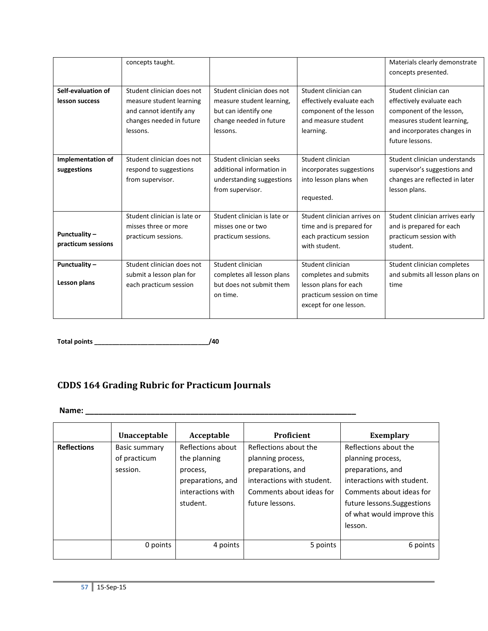|                    | concepts taught.             |                              |                              | Materials clearly demonstrate   |
|--------------------|------------------------------|------------------------------|------------------------------|---------------------------------|
|                    |                              |                              |                              | concepts presented.             |
|                    |                              |                              |                              |                                 |
| Self-evaluation of | Student clinician does not   | Student clinician does not   | Student clinician can        | Student clinician can           |
| lesson success     | measure student learning     | measure student learning,    | effectively evaluate each    | effectively evaluate each       |
|                    | and cannot identify any      | but can identify one         | component of the lesson      | component of the lesson,        |
|                    | changes needed in future     | change needed in future      | and measure student          | measures student learning,      |
|                    | lessons.                     | lessons.                     | learning.                    | and incorporates changes in     |
|                    |                              |                              |                              | future lessons.                 |
|                    |                              |                              |                              |                                 |
| Implementation of  | Student clinician does not   | Student clinician seeks      | Student clinician            | Student clinician understands   |
| suggestions        | respond to suggestions       | additional information in    | incorporates suggestions     | supervisor's suggestions and    |
|                    | from supervisor.             | understanding suggestions    | into lesson plans when       | changes are reflected in later  |
|                    |                              | from supervisor.             |                              | lesson plans.                   |
|                    |                              |                              | requested.                   |                                 |
|                    |                              |                              |                              |                                 |
|                    | Student clinician is late or | Student clinician is late or | Student clinician arrives on | Student clinician arrives early |
|                    | misses three or more         | misses one or two            | time and is prepared for     | and is prepared for each        |
| Punctuality-       | practicum sessions.          | practicum sessions.          | each practicum session       | practicum session with          |
| practicum sessions |                              |                              | with student.                | student.                        |
|                    |                              |                              |                              |                                 |
| Punctuality-       | Student clinician does not   | Student clinician            | Student clinician            | Student clinician completes     |
|                    | submit a lesson plan for     | completes all lesson plans   | completes and submits        | and submits all lesson plans on |
| Lesson plans       | each practicum session       | but does not submit them     | lesson plans for each        | time                            |
|                    |                              | on time.                     | practicum session on time    |                                 |
|                    |                              |                              | except for one lesson.       |                                 |
|                    |                              |                              |                              |                                 |
|                    |                              |                              |                              |                                 |

**Total points \_\_\_\_\_\_\_\_\_\_\_\_\_\_\_\_\_\_\_\_\_\_\_\_\_\_\_\_\_\_\_\_/40**

# **CDDS 164 Grading Rubric for Practicum Journals**

**Name: \_\_\_\_\_\_\_\_\_\_\_\_\_\_\_\_\_\_\_\_\_\_\_\_\_\_\_\_\_\_\_\_\_\_\_\_\_\_\_\_\_\_\_\_\_\_\_\_\_\_\_\_\_\_\_\_\_\_\_\_\_\_**

|                    | Unacceptable                              | Acceptable                                                                                          | <b>Proficient</b>                                                                                                                            | <b>Exemplary</b>                                                                                                                                                                                  |
|--------------------|-------------------------------------------|-----------------------------------------------------------------------------------------------------|----------------------------------------------------------------------------------------------------------------------------------------------|---------------------------------------------------------------------------------------------------------------------------------------------------------------------------------------------------|
| <b>Reflections</b> | Basic summary<br>of practicum<br>session. | Reflections about<br>the planning<br>process,<br>preparations, and<br>interactions with<br>student. | Reflections about the<br>planning process,<br>preparations, and<br>interactions with student.<br>Comments about ideas for<br>future lessons. | Reflections about the<br>planning process,<br>preparations, and<br>interactions with student.<br>Comments about ideas for<br>future lessons. Suggestions<br>of what would improve this<br>lesson. |
|                    | 0 points                                  | 4 points                                                                                            | 5 points                                                                                                                                     | 6 points                                                                                                                                                                                          |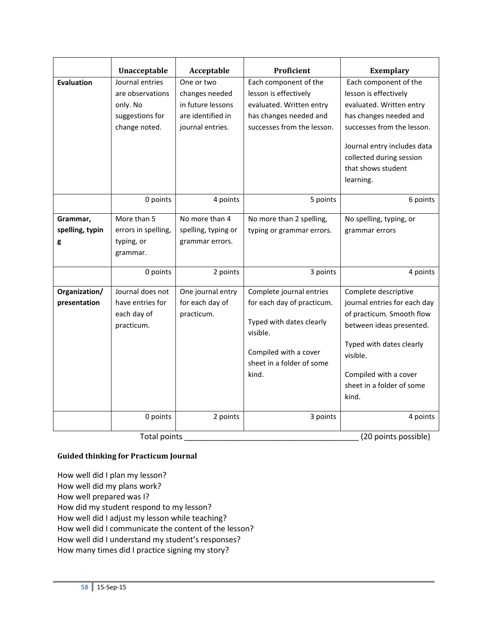|                                  | Unacceptable                                                                        | Acceptable                                                                                 | Proficient                                                                                                                                                    | <b>Exemplary</b>                                                                                                                                                                                                                 |
|----------------------------------|-------------------------------------------------------------------------------------|--------------------------------------------------------------------------------------------|---------------------------------------------------------------------------------------------------------------------------------------------------------------|----------------------------------------------------------------------------------------------------------------------------------------------------------------------------------------------------------------------------------|
| <b>Evaluation</b>                | Journal entries<br>are observations<br>only. No<br>suggestions for<br>change noted. | One or two<br>changes needed<br>in future lessons<br>are identified in<br>journal entries. | Each component of the<br>lesson is effectively<br>evaluated. Written entry<br>has changes needed and<br>successes from the lesson.                            | Each component of the<br>lesson is effectively<br>evaluated. Written entry<br>has changes needed and<br>successes from the lesson.<br>Journal entry includes data<br>collected during session<br>that shows student<br>learning. |
|                                  | 0 points                                                                            | 4 points                                                                                   | 5 points                                                                                                                                                      | 6 points                                                                                                                                                                                                                         |
| Grammar,<br>spelling, typin<br>g | More than 5<br>errors in spelling,<br>typing, or<br>grammar.                        | No more than 4<br>spelling, typing or<br>grammar errors.                                   | No more than 2 spelling,<br>typing or grammar errors.                                                                                                         | No spelling, typing, or<br>grammar errors                                                                                                                                                                                        |
|                                  | 0 points                                                                            | 2 points                                                                                   | 3 points                                                                                                                                                      | 4 points                                                                                                                                                                                                                         |
| Organization/<br>presentation    | Journal does not<br>have entries for<br>each day of<br>practicum.                   | One journal entry<br>for each day of<br>practicum.                                         | Complete journal entries<br>for each day of practicum.<br>Typed with dates clearly<br>visible.<br>Compiled with a cover<br>sheet in a folder of some<br>kind. | Complete descriptive<br>journal entries for each day<br>of practicum. Smooth flow<br>between ideas presented.<br>Typed with dates clearly<br>visible.<br>Compiled with a cover<br>sheet in a folder of some<br>kind.             |
|                                  | 0 points                                                                            | 2 points                                                                                   | 3 points                                                                                                                                                      | 4 points                                                                                                                                                                                                                         |
|                                  | <b>Total points</b>                                                                 |                                                                                            |                                                                                                                                                               | (20 points possible)                                                                                                                                                                                                             |

## **Guided thinking for Practicum Journal**

How well did I plan my lesson? How well did my plans work? How well prepared was I? How did my student respond to my lesson? How well did I adjust my lesson while teaching? How well did I communicate the content of the lesson? How well did I understand my student's responses? How many times did I practice signing my story?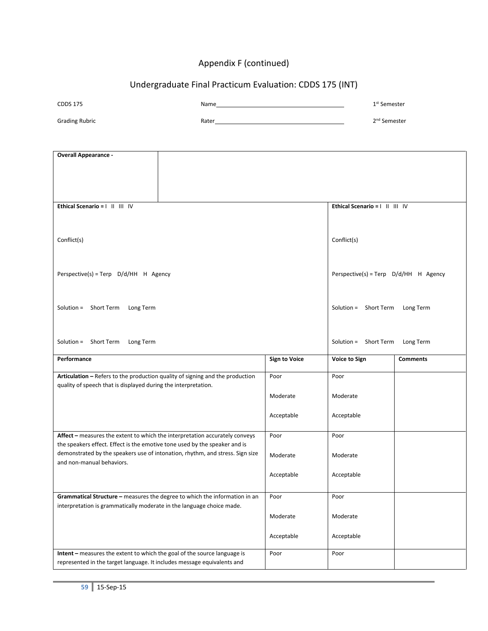# Appendix F (continued)

# Undergraduate Final Practicum Evaluation: CDDS 175 (INT)

| <b>CDDS 175</b>                                                               | Name                                                                          |                      | 1 <sup>st</sup> Semester              |                 |
|-------------------------------------------------------------------------------|-------------------------------------------------------------------------------|----------------------|---------------------------------------|-----------------|
| <b>Grading Rubric</b>                                                         |                                                                               |                      | 2 <sup>nd</sup> Semester              |                 |
|                                                                               |                                                                               |                      |                                       |                 |
|                                                                               |                                                                               |                      |                                       |                 |
| <b>Overall Appearance -</b>                                                   |                                                                               |                      |                                       |                 |
|                                                                               |                                                                               |                      |                                       |                 |
|                                                                               |                                                                               |                      |                                       |                 |
|                                                                               |                                                                               |                      |                                       |                 |
| Ethical Scenario =            V                                               |                                                                               |                      | Ethical Scenario =            V       |                 |
|                                                                               |                                                                               |                      |                                       |                 |
|                                                                               |                                                                               |                      |                                       |                 |
| Conflict(s)                                                                   |                                                                               |                      | Conflict(s)                           |                 |
|                                                                               |                                                                               |                      |                                       |                 |
|                                                                               |                                                                               |                      |                                       |                 |
| Perspective(s) = Terp $D/d/HH$ H Agency                                       |                                                                               |                      | Perspective(s) = Terp D/d/HH H Agency |                 |
|                                                                               |                                                                               |                      |                                       |                 |
| Solution = Short Term Long Term                                               |                                                                               |                      | Solution = Short Term Long Term       |                 |
|                                                                               |                                                                               |                      |                                       |                 |
|                                                                               |                                                                               |                      |                                       |                 |
| Solution = Short Term Long Term                                               |                                                                               |                      | Solution = Short Term Long Term       |                 |
|                                                                               |                                                                               |                      |                                       |                 |
| Performance                                                                   |                                                                               | <b>Sign to Voice</b> | Voice to Sign                         | <b>Comments</b> |
| Articulation - Refers to the production quality of signing and the production |                                                                               | Poor                 | Poor                                  |                 |
| quality of speech that is displayed during the interpretation.                |                                                                               |                      |                                       |                 |
|                                                                               |                                                                               | Moderate             | Moderate                              |                 |
|                                                                               |                                                                               | Acceptable           | Acceptable                            |                 |
|                                                                               |                                                                               |                      |                                       |                 |
| Affect - measures the extent to which the interpretation accurately conveys   |                                                                               | Poor                 | Poor                                  |                 |
| the speakers effect. Effect is the emotive tone used by the speaker and is    |                                                                               |                      |                                       |                 |
| and non-manual behaviors.                                                     | demonstrated by the speakers use of intonation, rhythm, and stress. Sign size | Moderate             | Moderate                              |                 |
|                                                                               |                                                                               | Acceptable           | Acceptable                            |                 |
|                                                                               |                                                                               |                      |                                       |                 |
|                                                                               | Grammatical Structure - measures the degree to which the information in an    | Poor                 | Poor                                  |                 |
| interpretation is grammatically moderate in the language choice made.         |                                                                               |                      |                                       |                 |
|                                                                               |                                                                               | Moderate             | Moderate                              |                 |
|                                                                               |                                                                               | Acceptable           | Acceptable                            |                 |
|                                                                               |                                                                               |                      |                                       |                 |
| Intent - measures the extent to which the goal of the source language is      |                                                                               | Poor                 | Poor                                  |                 |
| represented in the target language. It includes message equivalents and       |                                                                               |                      |                                       |                 |